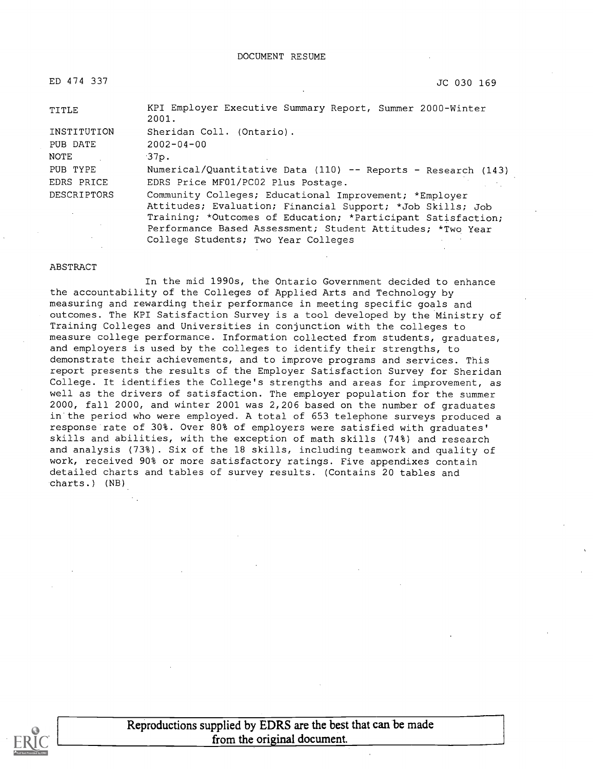ED 474 337 JC 030 169

TITLE KPI Employer Executive Summary Report, Summer 2000-Winter 2001. INSTITUTION Sheridan Coll. (Ontario). PUB DATE 2002-04-00 NOTE 37p. PUB TYPE Numerical/Quantitative Data (110) -- Reports - Research (143) EDRS PRICE EDRS Price MF01/PCO2 Plus Postage. DESCRIPTORS Community Colleges; Educational Improvement; \*Employer Attitudes; Evaluation; Financial Support; \*Job Skills; Job Training; \*Outcomes of Education; \*Participant Satisfaction; Performance Based Assessment; Student Attitudes; \*Two Year

College Students; Two Year Colleges

#### ABSTRACT

In the mid 1990s, the Ontario Government decided to enhance the accountability of the Colleges of Applied Arts and Technology by measuring and rewarding their performance in meeting specific goals and outcomes. The KPI Satisfaction Survey is a tool developed by the Ministry of Training Colleges and Universities in conjunction with the colleges to measure college performance. Information collected from students, graduates, and employers is used by the colleges to identify their strengths, to demonstrate their achievements, and to improve programs and services. This report presents the results of the Employer Satisfaction Survey for Sheridan College. It identifies the College's strengths and areas for improvement, as well as the drivers of satisfaction. The employer population for the summer 2000, fall 2000, and winter 2001 was 2,206 based on the number of graduates in the period who were employed. A total of 653 telephone surveys produced a response rate of 30%. Over 80% of employers were satisfied with graduates' skills and abilities, with the exception of math skills (74%) and research and analysis (73%). Six of the 18 skills, including teamwork and quality of work, received 90% or more satisfactory ratings. Five appendixes contain detailed charts and tables of survey results. (Contains 20 tables and charts.) (NB)



Reproductions supplied by EDRS are the best that can be made from the original document.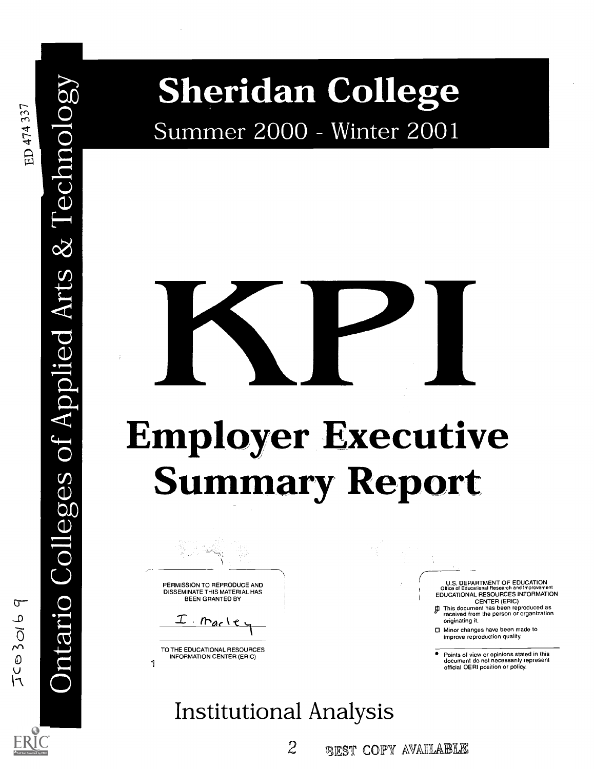$\overline{\mathbf{C}}$ 

 $\cup$  1

 $\cup$ 

<sup>0</sup> Sheridan College Summer 2000 - Winter 2001

# Employer Executive **Summary Report**  $\infty$

 $\overline{Q}$ PERMISSION TO REPRODUCE AND

DISSEMINATION DISSEMINATE THIS MATERIAL HAS BEEN GRANTED BY

I marle

1 TO THE EDUCATIONAL RESOURCES INFORMATION CENTER (ERIC)

Institutional Analysis

2 BEST COPY AVAILABLE

U.S. DEPARTMENT OF EDUCATION Office of Educational Research and Improvement EDUCATIONAL RESOURCES INFORMATION CENTER (ERIC)

1I This document has been reproduced as received from the person or organization originating it.

□ Minor changes have been made to improve reproduction quality.

Points of view or opinions stated in this document do not necessarily represent official OERI position or policy.

# $TC$   $30169$  $\leftarrow$  . O<sub>D</sub>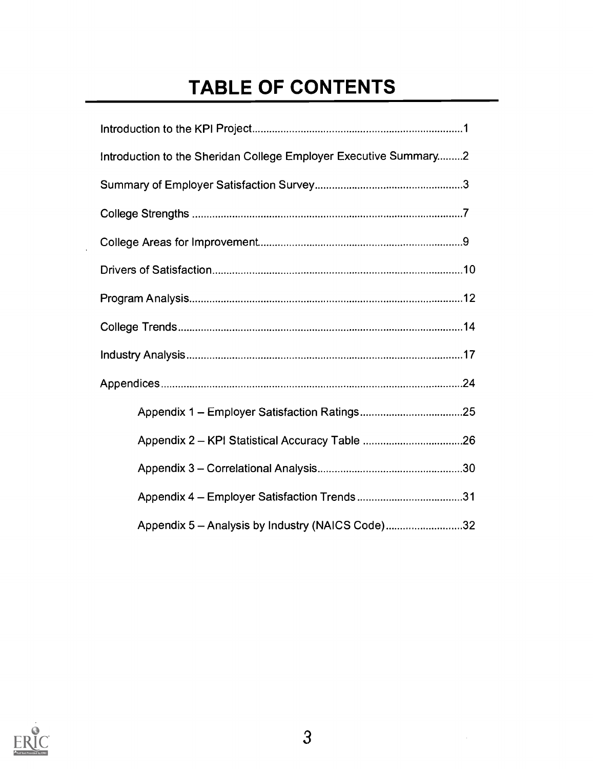# TABLE OF CONTENTS

| Introduction to the Sheridan College Employer Executive Summary 2 |
|-------------------------------------------------------------------|
|                                                                   |
|                                                                   |
|                                                                   |
|                                                                   |
|                                                                   |
|                                                                   |
|                                                                   |
|                                                                   |
|                                                                   |
|                                                                   |
|                                                                   |
|                                                                   |
| Appendix 5 - Analysis by Industry (NAICS Code)32                  |



 $\ddot{\phantom{a}}$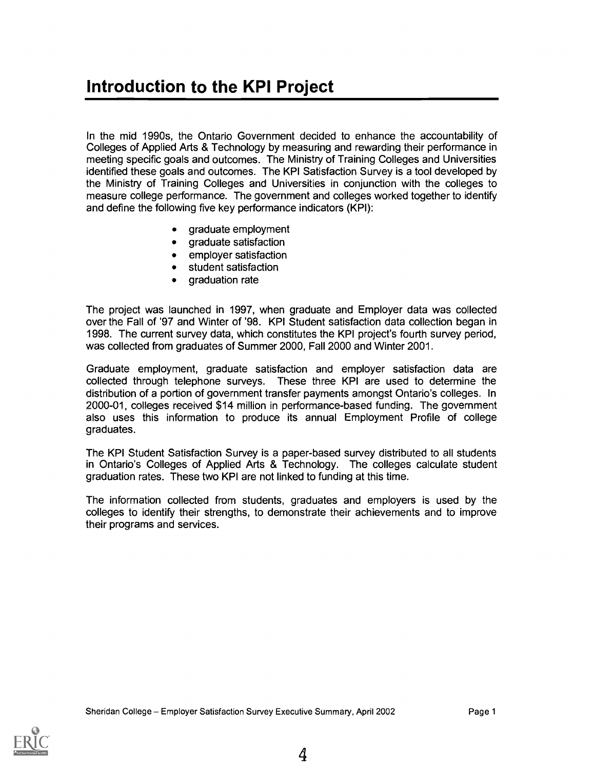# Introduction to the KPI Project

In the mid 1990s, the Ontario Government decided to enhance the accountability of Colleges of Applied Arts & Technology by measuring and rewarding their performance in meeting specific goals and outcomes. The Ministry of Training Colleges and Universities identified these goals and outcomes. The KPI Satisfaction Survey is a tool developed by the Ministry of Training Colleges and Universities in conjunction with the colleges to measure college performance. The government and colleges worked together to identify and define the following five key performance indicators (KPI):

- graduate employment
- graduate satisfaction  $\bullet$
- employer satisfaction
- student satisfaction
- graduation rate

The project was launched in 1997, when graduate and Employer data was collected over the Fall of '97 and Winter of '98. KPI Student satisfaction data collection began in 1998. The current survey data, which constitutes the KPI project's fourth survey period, was collected from graduates of Summer 2000, Fall 2000 and Winter 2001.

Graduate employment, graduate satisfaction and employer satisfaction data are collected through telephone surveys. These three KPI are used to determine the distribution of a portion of government transfer payments amongst Ontario's colleges. In 2000-01, colleges received \$14 million in performance-based funding. The government also uses this information to produce its annual Employment Profile of college graduates.

The KPI Student Satisfaction Survey is a paper-based survey distributed to all students in Ontario's Colleges of Applied Arts & Technology. The colleges calculate student graduation rates. These two KPI are not linked to funding at this time.

The information collected from students, graduates and employers is used by the colleges to identify their strengths, to demonstrate their achievements and to improve their programs and services.

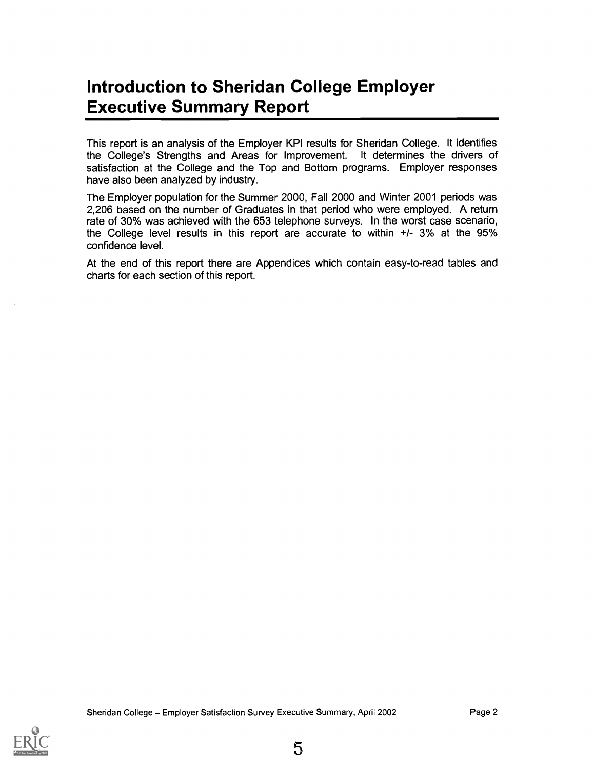# Introduction to Sheridan College Employer Executive Summary Report

This report is an analysis of the Employer KPI results for Sheridan College. It identifies the College's Strengths and Areas for Improvement. It determines the drivers of satisfaction at the College and the Top and Bottom programs. Employer responses have also been analyzed by industry.

The Employer population for the Summer 2000, Fall 2000 and Winter 2001 periods was 2,206 based on the number of Graduates in that period who were employed. A return rate of 30% was achieved with the 653 telephone surveys. In the worst case scenario, the College level results in this report are accurate to within +1- 3% at the 95% confidence level.

At the end of this report there are Appendices which contain easy-to-read tables and charts for each section of this report.

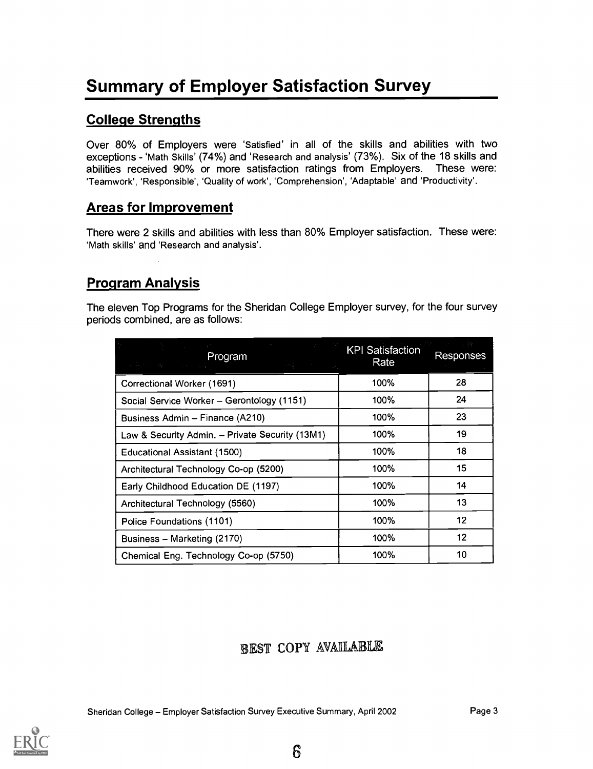# Summary of Employer Satisfaction Survey

#### College Strengths

Over 80% of Employers were 'Satisfied' in all of the skills and abilities with two exceptions - 'Math Skills' (74%) and 'Research and analysis' (73%). Six of the 18 skills and abilities received 90% or more satisfaction ratings from Employers. These were: 'Teamwork', 'Responsible', 'Quality of work', 'Comprehension', 'Adaptable' and 'Productivity'.

#### Areas for Improvement

There were 2 skills and abilities with less than 80% Employer satisfaction. These were: 'Math skills' and 'Research and analysis'.

#### Program Analysis

The eleven Top Programs for the Sheridan College Employer survey, for the four survey periods combined, are as follows:

| Program<br>se factor de la construcción<br>3월 10일 - 10월 10일 | KPI Satisfaction<br>Rate | Responses |
|-------------------------------------------------------------|--------------------------|-----------|
| Correctional Worker (1691)                                  | 100%                     | 28        |
| Social Service Worker - Gerontology (1151)                  | 100%                     | 24        |
| Business Admin – Finance (A210)                             | 100%                     | 23        |
| Law & Security Admin. - Private Security (13M1)             | 100%                     | 19        |
| <b>Educational Assistant (1500)</b>                         | 100%                     | 18        |
| Architectural Technology Co-op (5200)                       | 100%                     | 15        |
| Early Childhood Education DE (1197)                         | 100%                     | 14        |
| Architectural Technology (5560)                             | 100%                     | 13        |
| Police Foundations (1101)                                   | 100%                     | 12        |
| Business - Marketing (2170)                                 | 100%                     | 12        |
| Chemical Eng. Technology Co-op (5750)                       | 100%                     | 10        |

#### BEST COPY AVAILABLE

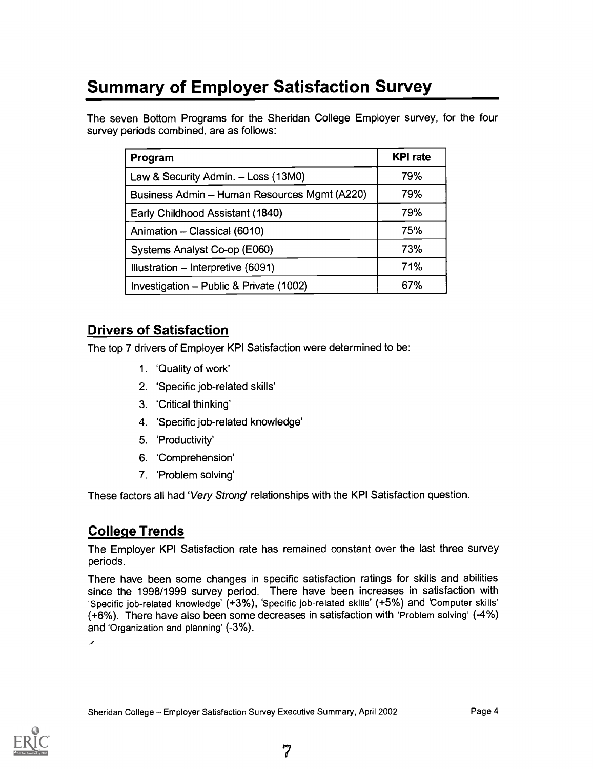# Summary of Employer Satisfaction Survey

The seven Bottom Programs for the Sheridan College Employer survey, for the four survey periods combined, are as follows:

| Program                                      | <b>KPI</b> rate |
|----------------------------------------------|-----------------|
| Law & Security Admin. - Loss (13M0)          | 79%             |
| Business Admin - Human Resources Mgmt (A220) | 79%             |
| Early Childhood Assistant (1840)             | 79%             |
| Animation - Classical (6010)                 | 75%             |
| Systems Analyst Co-op (E060)                 | 73%             |
| Illustration - Interpretive (6091)           | 71%             |
| Investigation - Public & Private (1002)      | 67%             |

#### Drivers of Satisfaction

The top 7 drivers of Employer KPI Satisfaction were determined to be:

- 1. 'Quality of work'
- 2. 'Specific job-related skills'
- 3. 'Critical thinking'
- 4. 'Specific job-related knowledge'
- 5. 'Productivity'
- 6. 'Comprehension'
- 7. 'Problem solving'

These factors all had 'Very Strong' relationships with the KPI Satisfaction question.

#### College Trends

The Employer KPI Satisfaction rate has remained constant over the last three survey periods.

There have been some changes in specific satisfaction ratings for skills and abilities since the 1998/1999 survey period. There have been increases in satisfaction with 'Specific job-related knowledge' (+3%), 'Specific job-related skills' (+5%) and 'Computer skills' (+6%). There have also been some decreases in satisfaction with 'Problem solving' (-4%) and 'Organization and planning' (-3%).

 $\overline{\phantom{a}}$ 

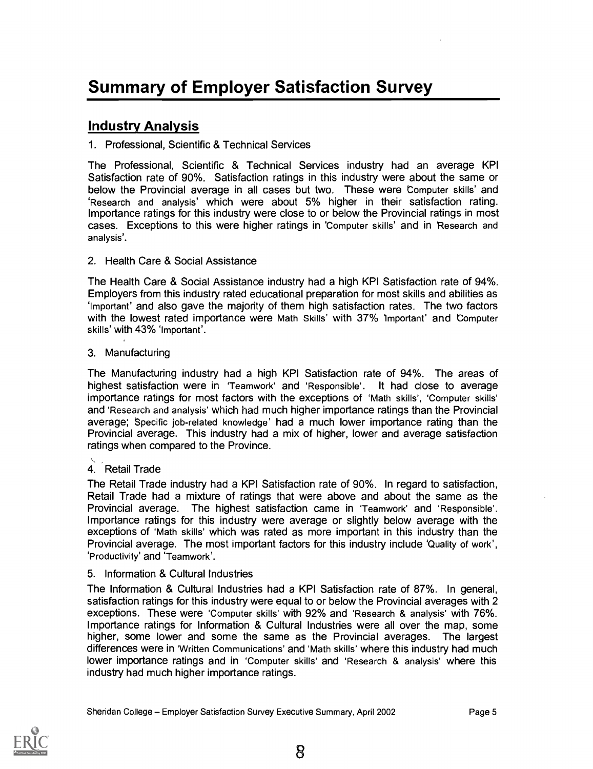#### Industry Analysis

#### 1. Professional, Scientific & Technical Services

The Professional, Scientific & Technical Services industry had an average KPI Satisfaction rate of 90%. Satisfaction ratings in this industry were about the same or below the Provincial average in all cases but two. These were Computer skills' and 'Research and analysis' which were about 5% higher in their satisfaction rating. Importance ratings for this industry were close to or below the Provincial ratings in most cases. Exceptions to this were higher ratings in 'Computer skills' and in 'Research and analysis'.

#### 2. Health Care & Social Assistance

The Health Care & Social Assistance industry had a high KPI Satisfaction rate of 94%. Employers from this industry rated educational preparation for most skills and abilities as 'Important' and also gave the majority of them high satisfaction rates. The two factors with the lowest rated importance were Math Skills' with 37% 'Important' and computer skills' with 43% 'Important'.

#### 3. Manufacturing

The Manufacturing industry had a high KPI Satisfaction rate of 94%. The areas of highest satisfaction were in 'Teamwork' and 'Responsible'. It had close to average importance ratings for most factors with the exceptions of 'Math skills', 'Computer skills' and 'Research and analysis' which had much higher importance ratings than the Provincial average; Specific job-related knowledge' had a much lower importance rating than the Provincial average. This industry had a mix of higher, lower and average satisfaction ratings when compared to the Province.

#### 4. Retail Trade

The Retail Trade industry had a KPI Satisfaction rate of 90%. In regard to satisfaction, Retail Trade had a mixture of ratings that were above and about the same as the Provincial average. The highest satisfaction came in 'Teamwork' and 'Responsible'. Importance ratings for this industry were average or slightly below average with the exceptions of 'Math skills' which was rated as more important in this industry than the Provincial average. The most important factors for this industry include 'Quality of work', 'Productivity' and 'Teamwork'.

#### 5. Information & Cultural Industries

The Information & Cultural Industries had a KPI Satisfaction rate of 87%. In general, satisfaction ratings for this industry were equal to or below the Provincial averages with 2 exceptions. These were 'Computer skills' with 92% and 'Research & analysis' with 76%. Importance ratings for Information & Cultural Industries were all over the map, some higher, some lower and some the same as the Provincial averages. The largest differences were in 'Written Communications' and 'Math skills' where this industry had much lower importance ratings and in 'Computer skills' and 'Research & analysis' where this industry had much higher importance ratings.

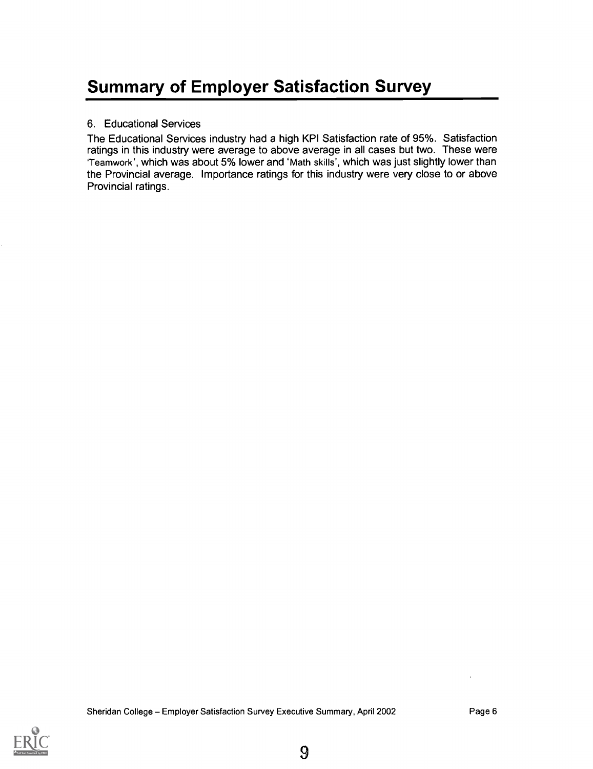# Summary of Employer Satisfaction Survey

#### 6. Educational Services

The Educational Services industry had a high KPI Satisfaction rate of 95%. Satisfaction ratings in this industry were average to above average in all cases but two. These were Teamwork', which was about 5% lower and 'Math skills', which was just slightly lower than the Provincial average. Importance ratings for this industry were very close to or above Provincial ratings.

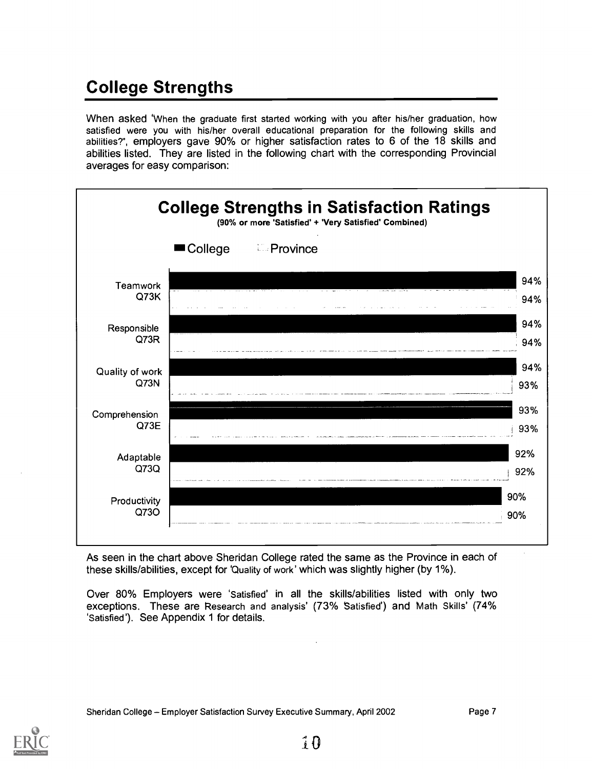# College Strengths

When asked When the graduate first started working with you after his/her graduation, how satisfied were you with his/her overall educational preparation for the following skills and abilities?", employers gave 90% or higher satisfaction rates to 6 of the 18 skills and abilities listed. They are listed in the following chart with the corresponding Provincial averages for easy comparison:



As seen in the chart above Sheridan College rated the same as the Province in each of these skills/abilities, except for 'Quality of work' which was slightly higher (by 1%).

Over 80% Employers were 'Satisfied' in all the skills/abilities listed with only two exceptions. These are Research and analysis' (73% Satisfied') and Math Skills' (74% 'Satisfied'). See Appendix 1 for details.

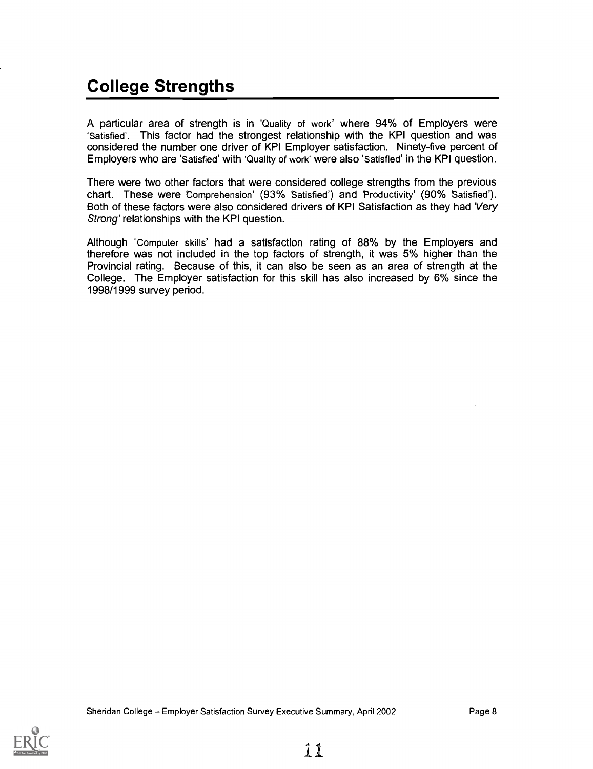# College Strengths

A particular area of strength is in 'Quality of work' where 94% of Employers were 'Satisfied'. This factor had the strongest relationship with the KPI question and was considered the number one driver of KPI Employer satisfaction. Ninety-five percent of Employers who are 'Satisfied' with 'Quality of work' were also 'Satisfied' in the KPI question.

There were two other factors that were considered college strengths from the previous chart. These were Comprehension' (93% Satisfied') and Productivity' (90% satisfied). Both of these factors were also considered drivers of KPI Satisfaction as they had 'Very Strong' relationships with the KPI question.

Although 'Computer skills' had a satisfaction rating of 88% by the Employers and therefore was not included in the top factors of strength, it was 5% higher than the Provincial rating. Because of this, it can also be seen as an area of strength at the College. The Employer satisfaction for this skill has also increased by 6% since the 1998/1999 survey period.

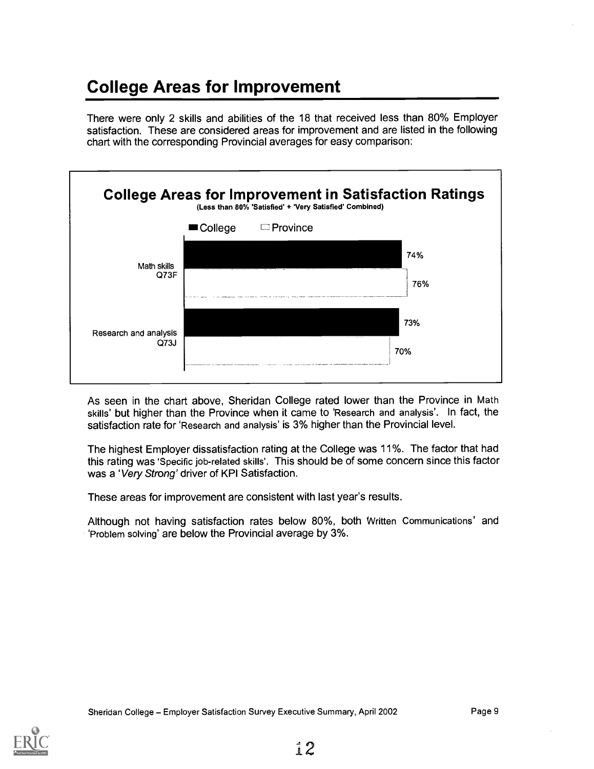# College Areas for Improvement

There were only 2 skills and abilities of the 18 that received less than 80% Employer satisfaction. These are considered areas for improvement and are listed in the following chart with the corresponding Provincial averages for easy comparison:



As seen in the chart above, Sheridan College rated lower than the Province in Math skills' but higher than the Province when it came to 'Research and analysis'. In fact, the satisfaction rate for 'Research and analysis' is 3% higher than the Provincial level.

The highest Employer dissatisfaction rating at the College was 11%. The factor that had this rating was 'Specific job-related skills'. This should be of some concern since this factor was a 'Very Strong' driver of KPI Satisfaction.

These areas for improvement are consistent with last year's results.

Although not having satisfaction rates below 80%, both Written Communications' and 'Problem solving' are below the Provincial average by 3%.

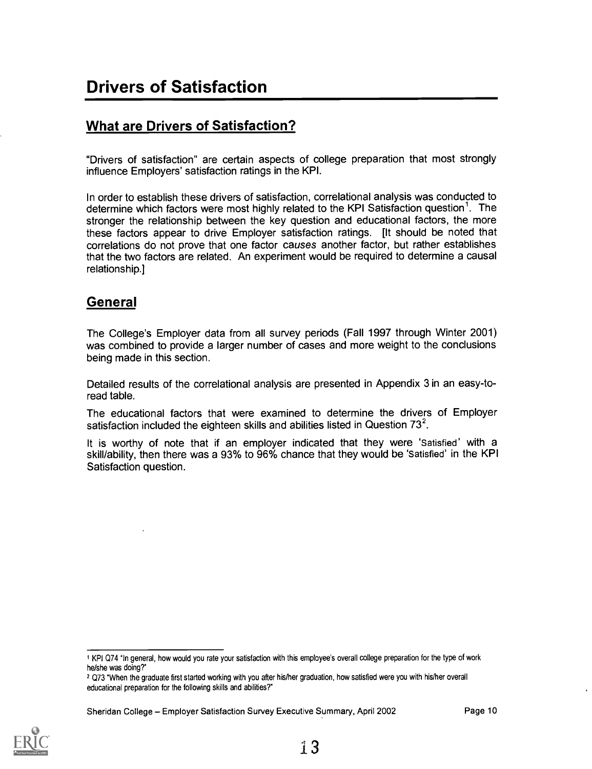#### What are Drivers of Satisfaction?

"Drivers of satisfaction" are certain aspects of college preparation that most strongly influence Employers' satisfaction ratings in the KPI.

In order to establish these drivers of satisfaction, correlational analysis was conducted to determine which factors were most highly related to the KPI Satisfaction question'. The stronger the relationship between the key question and educational factors, the more these factors appear to drive Employer satisfaction ratings. [It should be noted that correlations do not prove that one factor causes another factor, but rather establishes that the two factors are related. An experiment would be required to determine a causal relationship.]

#### General

The College's Employer data from all survey periods (Fall 1997 through Winter 2001) was combined to provide a larger number of cases and more weight to the conclusions being made in this section.

Detailed results of the correlational analysis are presented in Appendix 3 in an easy-toread table.

The educational factors that were examined to determine the drivers of Employer satisfaction included the eighteen skills and abilities listed in Question  $73^2$ .

It is worthy of note that if an employer indicated that they were 'Satisfied' with a skill/ability, then there was a 93% to 96% chance that they would be 'Satisfied' in the KPI Satisfaction question.

Sheridan College - Employer Satisfaction Survey Executive Summary, April 2002 Page 10



<sup>1</sup> KPI Q74 in general, how would you rate your satisfaction with this employee's overall college preparation for the type of work he/she was doing?"

<sup>2</sup> Q73 "When the graduate first started working with you after his/her graduation, how satisfied were you with his/her overall educational preparation for the following skills and abilities?"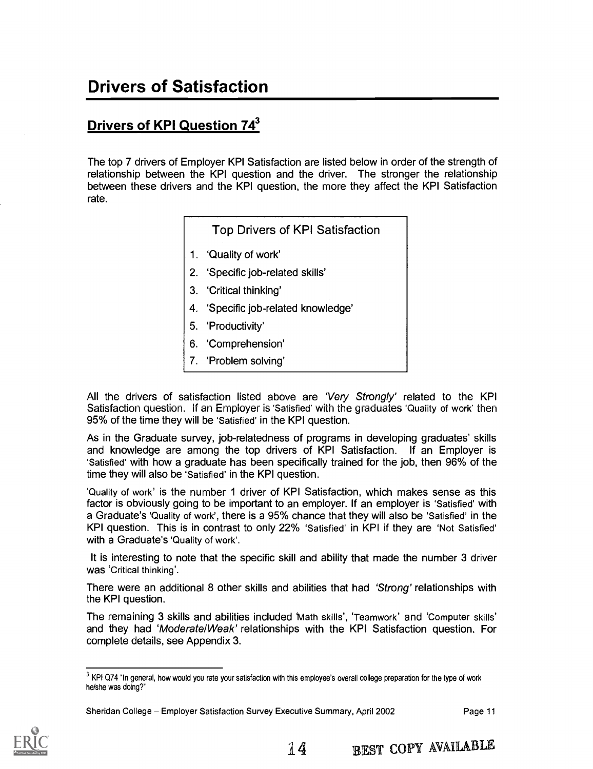# Drivers of Satisfaction

## **Drivers of KPI Question 743**

The top 7 drivers of Employer KPI Satisfaction are listed below in order of the strength of relationship between the KPI question and the driver. The stronger the relationship between these drivers and the KPI question, the more they affect the KPI Satisfaction rate.

Top Drivers of KPI Satisfaction

- 1. 'Quality of work'
- 2. 'Specific job-related skills'
- 3. 'Critical thinking'
- 4. 'Specific job-related knowledge'
- 5. 'Productivity'
- 6. 'Comprehension'
- 7. 'Problem solving'

All the drivers of satisfaction listed above are 'Very Strongly' related to the KPI Satisfaction question. If an Employer is 'Satisfied' with the graduates 'Quality of work' then 95% of the time they will be 'Satisfied' in the KPI question.

As in the Graduate survey, job-relatedness of programs in developing graduates' skills and knowledge are among the top drivers of KPI Satisfaction. If an Employer is 'Satisfied' with how a graduate has been specifically trained for the job, then 96% of the time they will also be 'Satisfied' in the KPI question.

'Quality of work' is the number 1 driver of KPI Satisfaction, which makes sense as this factor is obviously going to be important to an employer. If an employer is 'Satisfied' with a Graduate's 'Quality of work', there is a 95% chance that they will also be 'Satisfied' in the KPI question. This is in contrast to only 22% 'Satisfied' in KPI if they are 'Not Satisfied' with a Graduate's 'Quality of work'.

It is interesting to note that the specific skill and ability that made the number 3 driver was 'Critical thinking'.

There were an additional 8 other skills and abilities that had 'Strong' relationships with the KPI question.

The remaining 3 skills and abilities included Math skills', 'Teamwork' and 'Computer skills' and they had 'Moderate/Weak' relationships with the KPI Satisfaction question. For complete details, see Appendix 3.



<sup>&</sup>lt;sup>3</sup> KPI Q74 "In general, how would you rate your satisfaction with this employee's overall college preparation for the type of work he/she was doing?"

Sheridan College - Employer Satisfaction Survey Executive Summary, April 2002 Page 11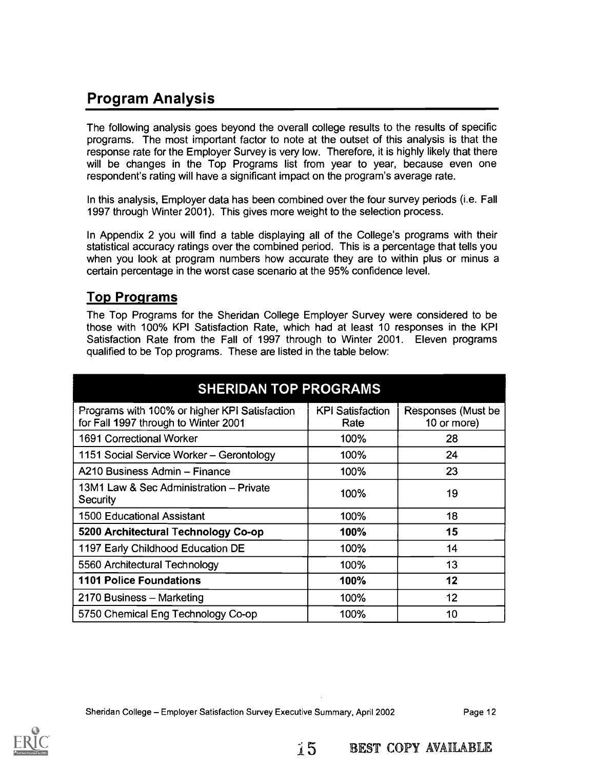## Program Analysis

The following analysis goes beyond the overall college results to the results of specific programs. The most important factor to note at the outset of this analysis is that the response rate for the Employer Survey is very low. Therefore, it is highly likely that there will be changes in the Top Programs list from year to year, because even one respondent's rating will have a significant impact on the program's average rate.

In this analysis, Employer data has been combined over the four survey periods (i.e. Fall 1997 through Winter 2001). This gives more weight to the selection process.

In Appendix 2 you will find a table displaying all of the College's programs with their statistical accuracy ratings over the combined period. This is a percentage that tells you when you look at program numbers how accurate they are to within plus or minus a certain percentage in the worst case scenario at the 95% confidence level.

#### Top Programs

The Top Programs for the Sheridan College Employer Survey were considered to be those with 100% KPI Satisfaction Rate, which had at least 10 responses in the KPI Satisfaction Rate from the Fall of 1997 through to Winter 2001. Eleven programs qualified to be Top programs. These are listed in the table below:

| <b>SHERIDAN TOP PROGRAMS</b>                                                          |                                 |                                   |  |  |  |  |  |
|---------------------------------------------------------------------------------------|---------------------------------|-----------------------------------|--|--|--|--|--|
| Programs with 100% or higher KPI Satisfaction<br>for Fall 1997 through to Winter 2001 | <b>KPI</b> Satisfaction<br>Rate | Responses (Must be<br>10 or more) |  |  |  |  |  |
| <b>1691 Correctional Worker</b>                                                       | 100%                            | 28                                |  |  |  |  |  |
| 1151 Social Service Worker - Gerontology                                              | 100%                            | 24                                |  |  |  |  |  |
| A210 Business Admin - Finance                                                         | 100%                            | 23                                |  |  |  |  |  |
| 13M1 Law & Sec Administration – Private<br>Security                                   | 100%                            | 19                                |  |  |  |  |  |
| <b>1500 Educational Assistant</b>                                                     | 100%                            | 18                                |  |  |  |  |  |
| 5200 Architectural Technology Co-op                                                   | 100%                            | 15                                |  |  |  |  |  |
| 1197 Early Childhood Education DE                                                     | 100%                            | 14                                |  |  |  |  |  |
| 5560 Architectural Technology                                                         | 100%                            | 13                                |  |  |  |  |  |
| <b>1101 Police Foundations</b>                                                        | 100%                            | 12                                |  |  |  |  |  |
| 2170 Business - Marketing                                                             | 100%                            | 12                                |  |  |  |  |  |
| 5750 Chemical Eng Technology Co-op                                                    | 100%                            | 10                                |  |  |  |  |  |

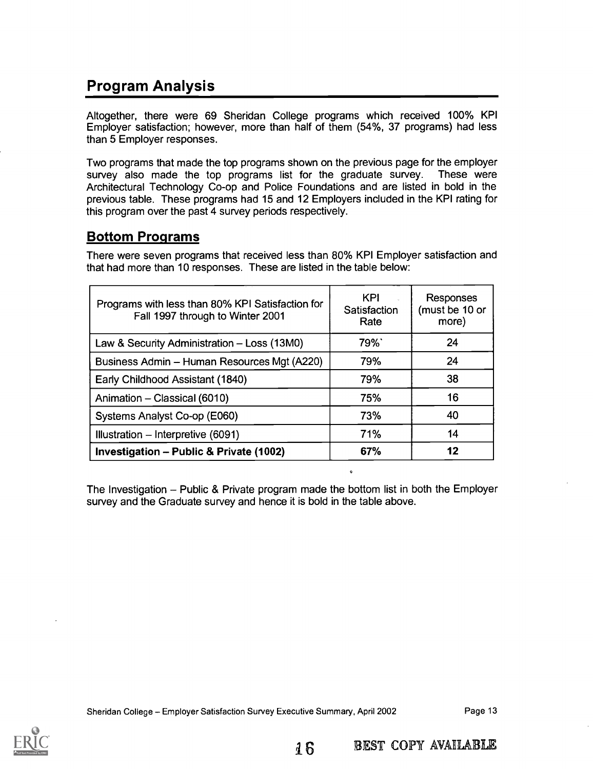## Program Analysis

Altogether, there were 69 Sheridan College programs which received 100% KPI Employer satisfaction; however, more than half of them (54%, 37 programs) had less than 5 Employer responses.

Two programs that made the top programs shown on the previous page for the employer survey also made the top programs list for the graduate survey. These were Architectural Technology Co-op and Police Foundations and are listed in bold in the previous table. These programs had 15 and 12 Employers included in the KPI rating for this program over the past 4 survey periods respectively.

#### Bottom Programs

There were seven programs that received less than 80% KPI Employer satisfaction and that had more than 10 responses. These are listed in the table below:

| Programs with less than 80% KPI Satisfaction for<br>Fall 1997 through to Winter 2001 | KPI<br>Satisfaction<br>Rate | <b>Responses</b><br>(must be 10 or<br>more) |
|--------------------------------------------------------------------------------------|-----------------------------|---------------------------------------------|
| Law & Security Administration - Loss (13M0)                                          | 79%`                        | 24                                          |
| Business Admin - Human Resources Mgt (A220)                                          | 79%                         | 24                                          |
| Early Childhood Assistant (1840)                                                     | 79%                         | 38                                          |
| Animation - Classical (6010)                                                         | 75%                         | 16                                          |
| Systems Analyst Co-op (E060)                                                         | 73%                         | 40                                          |
| Illustration - Interpretive (6091)                                                   | 71%                         | 14                                          |
| Investigation - Public & Private (1002)                                              | 67%                         | 12                                          |

The Investigation  $-$  Public & Private program made the bottom list in both the Employer survey and the Graduate survey and hence it is bold in the table above.

16



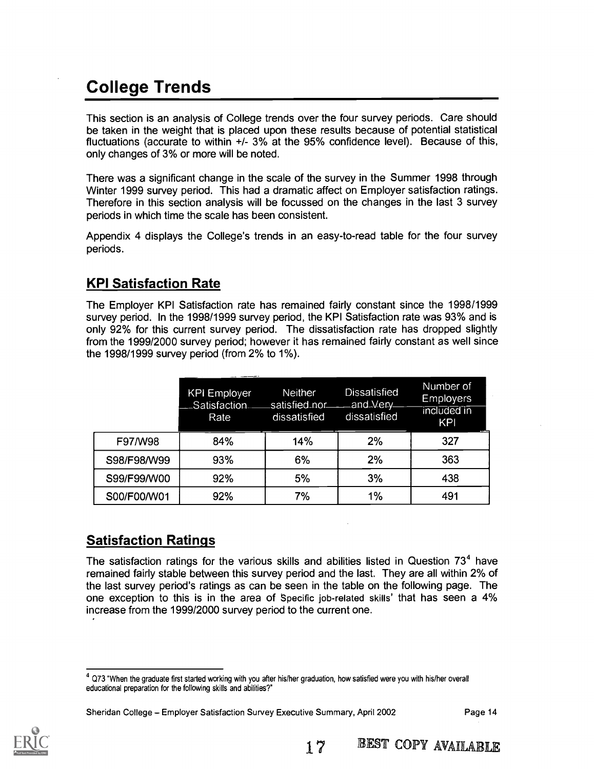# College Trends

This section is an analysis of College trends over the four survey periods. Care should be taken in the weight that is placed upon these results because of potential statistical fluctuations (accurate to within +/- 3% at the 95% confidence level). Because of this, only changes of 3% or more will be noted.

There was a significant change in the scale of the survey in the Summer 1998 through Winter 1999 survey period. This had a dramatic affect on Employer satisfaction ratings. Therefore in this section analysis will be focussed on the changes in the last 3 survey periods in which time the scale has been consistent.

Appendix 4 displays the College's trends in an easy-to-read table for the four survey periods.

#### KPI Satisfaction Rate

The Employer KPI Satisfaction rate has remained fairly constant since the 1998/1999 survey period. In the 1998/1999 survey period, the KPI Satisfaction rate was 93% and is only 92% for this current survey period. The dissatisfaction rate has dropped slightly from the 1999/2000 survey period; however it has remained fairly constant as well since the 1998/1999 survey period (from 2% to 1%).

|             | <b>KPI Employer</b><br>Satisfaction<br>Rate | <b>Neither</b><br>satisfied.nor<br>dissatisfied | Dissatisfied<br>and Very<br>dissatisfied | Number of<br><b>Employers</b><br>included in<br>KPI |
|-------------|---------------------------------------------|-------------------------------------------------|------------------------------------------|-----------------------------------------------------|
| F97/W98     | 84%                                         | 14%                                             | 2%                                       | 327                                                 |
| S98/F98/W99 | 93%                                         | 6%                                              | 2%                                       | 363                                                 |
| S99/F99/W00 | 92%                                         | 5%                                              | 3%                                       | 438                                                 |
| S00/F00/W01 | 92%                                         | 7%                                              | 1%                                       | 491                                                 |

#### Satisfaction Ratings

The satisfaction ratings for the various skills and abilities listed in Question  $73<sup>4</sup>$  have remained fairly stable between this survey period and the last. They are all within 2% of the last survey period's ratings as can be seen in the table on the following page. The one exception to this is in the area of Specific job-related skills' that has seen a 4% increase from the 1999/2000 survey period to the current one.

Sheridan College - Employer Satisfaction Survey Executive Summary, April 2002



 $4$  Q73 "When the graduate first started working with you after his/her graduation, how satisfied were you with his/her overall educational preparation for the following skills and abilities?"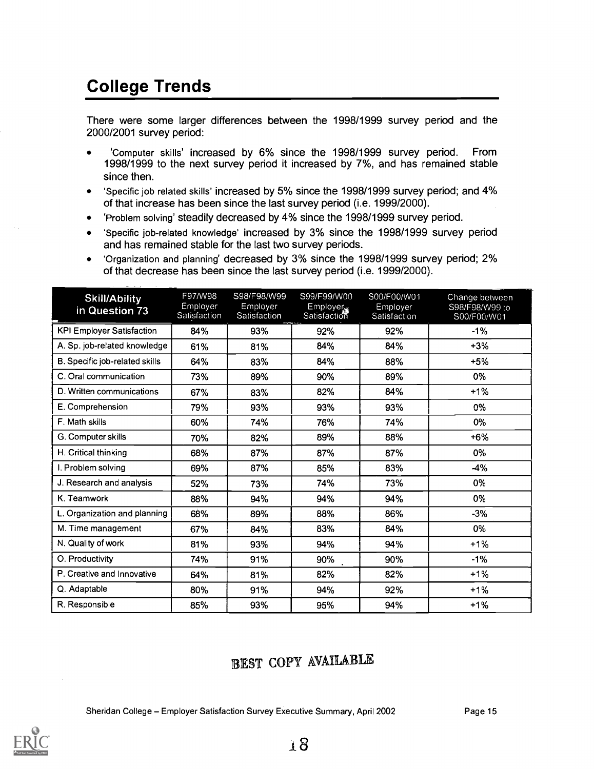# College Trends

There were some larger differences between the 1998/1999 survey period and the 2000/2001 survey period:

- 'Computer skills' increased by 6% since the 1998/1999 survey period. From 1998/1999 to the next survey period it increased by 7%, and has remained stable since then.
- 'Specific job related skills' increased by 5% since the 1998/1999 survey period; and 4%  $\bullet$ of that increase has been since the last survey period (i.e. 1999/2000).
- 'Problem solving' steadily decreased by 4% since the 1998/1999 survey period.
- 'Specific job-related knowledge' increased by 3% since the 1998/1999 survey period  $\bullet$ and has remained stable for the last two survey periods.
- 'Organization and planning' decreased by 3% since the 1998/1999 survey period; 2% of that decrease has been since the last survey period (i.e. 1999/2000).

| <b>Skill/Ability</b><br>in Question 73 | F97/W98<br>Employer<br>Satisfaction | S98/F98/W99<br>Employer<br>Satisfaction | S99/F99/W00<br>Employer<br>Satisfaction | S00/F00/W01<br>Employer<br>Satisfaction | Change between<br>S98/F98/W99 to<br>S00/F00/W01 |
|----------------------------------------|-------------------------------------|-----------------------------------------|-----------------------------------------|-----------------------------------------|-------------------------------------------------|
| <b>KPI Employer Satisfaction</b>       | 84%                                 | 93%                                     | 92%                                     | 92%                                     | $-1%$                                           |
| A. Sp. job-related knowledge           | 61%                                 | 81%                                     | 84%                                     | 84%                                     | $+3%$                                           |
| B. Specific job-related skills         | 64%                                 | 83%                                     | 84%                                     | 88%                                     | $+5%$                                           |
| C. Oral communication                  | 73%                                 | 89%                                     | 90%                                     | 89%                                     | 0%                                              |
| D. Written communications              | 67%                                 | 83%                                     | 82%                                     | 84%                                     | $+1%$                                           |
| E. Comprehension                       | 79%                                 | 93%                                     | 93%                                     | 93%                                     | $0\%$                                           |
| F. Math skills                         | 60%                                 | 74%                                     | 76%                                     | 74%                                     | 0%                                              |
| G. Computer skills                     | 70%                                 | 82%                                     | 89%                                     | 88%                                     | $+6%$                                           |
| H. Critical thinking                   | 68%                                 | 87%                                     | 87%                                     | 87%                                     | 0%                                              |
| I. Problem solving                     | 69%                                 | 87%                                     | 85%                                     | 83%                                     | $-4%$                                           |
| J. Research and analysis               | 52%                                 | 73%                                     | 74%                                     | 73%                                     | 0%                                              |
| K. Teamwork                            | 88%                                 | 94%                                     | 94%                                     | 94%                                     | 0%                                              |
| L. Organization and planning           | 68%                                 | 89%                                     | 88%                                     | 86%                                     | $-3%$                                           |
| M. Time management                     | 67%                                 | 84%                                     | 83%                                     | 84%                                     | 0%                                              |
| N. Quality of work                     | 81%                                 | 93%                                     | 94%                                     | 94%                                     | $+1%$                                           |
| O. Productivity                        | 74%                                 | 91%                                     | 90%                                     | 90%                                     | $-1%$                                           |
| P. Creative and Innovative             | 64%                                 | 81%                                     | 82%                                     | 82%                                     | $+1%$                                           |
| Q. Adaptable                           | 80%                                 | 91%                                     | 94%                                     | 92%                                     | $+1%$                                           |
| R. Responsible                         | 85%                                 | 93%                                     | 95%                                     | 94%                                     | $+1%$                                           |

# BEST COPY AVAILABLE

Sheridan College - Employer Satisfaction Survey Executive Summary, April 2002 Page 15



18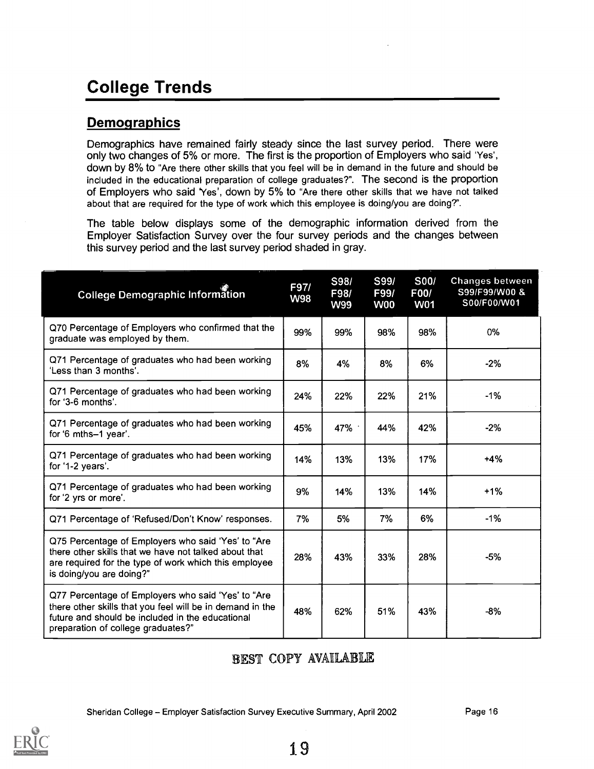# College Trends

#### **Demographics**

Demographics have remained fairly steady since the last survey period. There were only two changes of 5% or more. The first is the proportion of Employers who said 'Yes', down by 8% to "Are there other skills that you feel will be in demand in the future and should be included in the educational preparation of college graduates?". The second is the proportion of Employers who said 'Yes', down by 5% to "Are there other skills that we have not talked about that are required for the type of work which this employee is doing/you are doing?".

The table below displays some of the demographic information derived from the Employer Satisfaction Survey over the four survey periods and the changes between this survey period and the last survey period shaded in gray.

| <b>College Demographic Information</b>                                                                                                                                                                    | F97/<br><b>W98</b> | S98/<br>F98/<br><b>W99</b> | S99/<br>F99/<br><b>W00</b> | <b>S00/</b><br>F00/<br><b>W01</b> | <b>Changes between</b><br>S99/F99/W00 &<br>S00/F00/W01 |
|-----------------------------------------------------------------------------------------------------------------------------------------------------------------------------------------------------------|--------------------|----------------------------|----------------------------|-----------------------------------|--------------------------------------------------------|
| Q70 Percentage of Employers who confirmed that the<br>graduate was employed by them.                                                                                                                      | 99%                | 99%                        | 98%                        | 98%                               | 0%                                                     |
| Q71 Percentage of graduates who had been working<br>'Less than 3 months'.                                                                                                                                 | 8%                 | 4%                         | 8%                         | 6%                                | $-2%$                                                  |
| Q71 Percentage of graduates who had been working<br>for '3-6 months'.                                                                                                                                     | 24%                | 22%                        | 22%                        | 21%                               | $-1%$                                                  |
| Q71 Percentage of graduates who had been working<br>for '6 mths-1 year'.                                                                                                                                  | 45%                | 47%                        | 44%                        | 42%                               | $-2%$                                                  |
| Q71 Percentage of graduates who had been working<br>for '1-2 years'.                                                                                                                                      | 14%                | 13%                        | 13%                        | 17%                               | $+4%$                                                  |
| Q71 Percentage of graduates who had been working<br>for '2 yrs or more'.                                                                                                                                  | 9%                 | 14%                        | 13%                        | 14%                               | $+1%$                                                  |
| Q71 Percentage of 'Refused/Don't Know' responses.                                                                                                                                                         | 7%                 | 5%                         | 7%                         | 6%                                | $-1%$                                                  |
| Q75 Percentage of Employers who said 'Yes' to "Are<br>there other skills that we have not talked about that<br>are required for the type of work which this employee<br>is doing/you are doing?"          | 28%                | 43%                        | 33%                        | 28%                               | $-5%$                                                  |
| Q77 Percentage of Employers who said 'Yes' to "Are<br>there other skills that you feel will be in demand in the<br>future and should be included in the educational<br>preparation of college graduates?" | 48%                | 62%                        | 51%                        | 43%                               | -8%                                                    |

#### BEST COPY AVAILABLE

Sheridan College -- Employer Satisfaction Survey Executive Summary, April 2002 Page 16

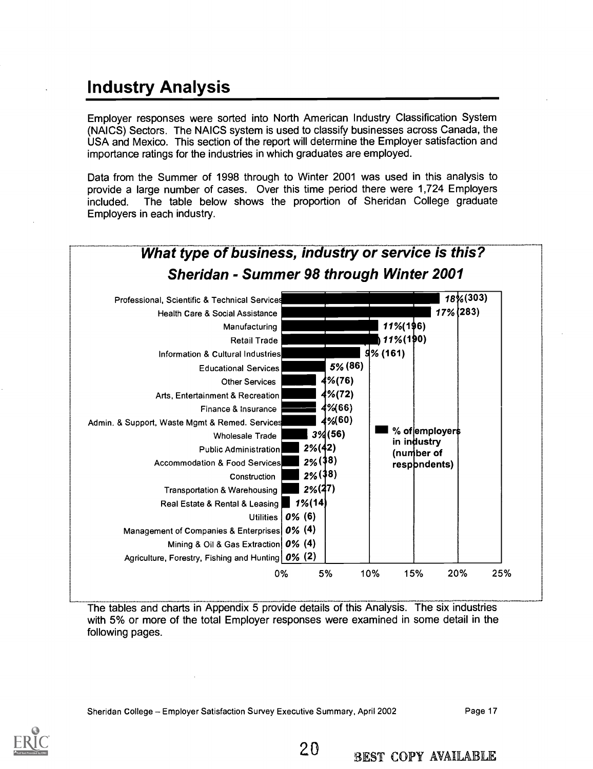# Industry Analysis

Employer responses were sorted into North American Industry Classification System (NAICS) Sectors. The NAICS system is used to classify businesses across Canada, the USA and Mexico. This section of the report will determine the Employer satisfaction and importance ratings for the industries in which graduates are employed.

Data from the Summer of 1998 through to Winter 2001 was used in this analysis to provide a large number of cases. Over this time period there were 1,724 Employers included. The table below shows the proportion of Sheridan College graduate Employers in each industry.



The tables and charts in Appendix 5 provide details of this Analysis. The six industries with 5% or more of the total Employer responses were examined in some detail in the following pages.

Sheridan College - Employer Satisfaction Survey Executive Summary, April 2002 Page 17

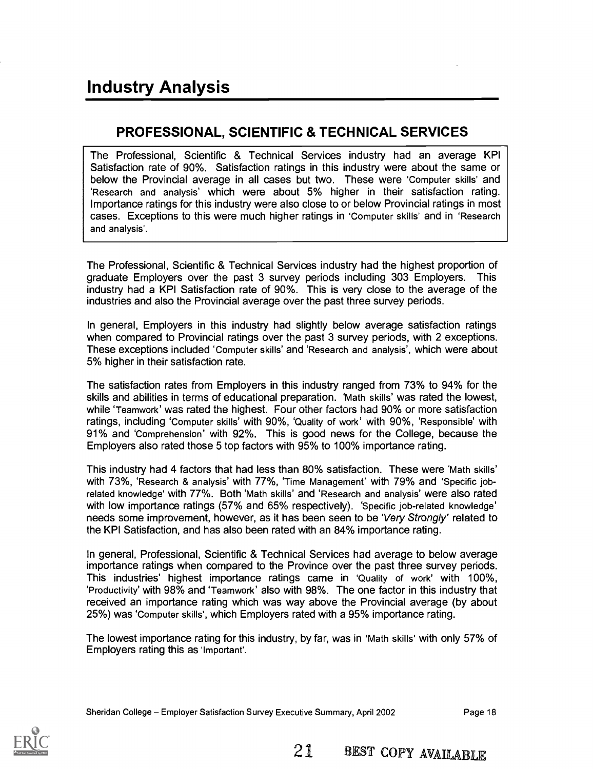#### PROFESSIONAL, SCIENTIFIC & TECHNICAL SERVICES

The Professional, Scientific & Technical Services industry had an average KPI Satisfaction rate of 90%. Satisfaction ratings in this industry were about the same or below the Provincial average in all cases but two. These were 'Computer skills' and 'Research and analysis' which were about 5% higher in their satisfaction rating. Importance ratings for this industry were also close to or below Provincial ratings in most cases. Exceptions to this were much higher ratings in 'Computer skills' and in 'Research and analysis'.

The Professional, Scientific & Technical Services industry had the highest proportion of graduate Employers over the past 3 survey periods including 303 Employers. This industry had a KPI Satisfaction rate of 90%. This is very close to the average of the industries and also the Provincial average over the past three survey periods.

In general, Employers in this industry had slightly below average satisfaction ratings when compared to Provincial ratings over the past 3 survey periods, with 2 exceptions. These exceptions included 'Computer skills' and 'Research and analysis', which were about 5% higher in their satisfaction rate.

The satisfaction rates from Employers in this industry ranged from 73% to 94% for the skills and abilities in terms of educational preparation. 'Math skills' was rated the lowest, while 'Teamwork' was rated the highest. Four other factors had 90% or more satisfaction ratings, including 'Computer skills' with 90%, 'Quality of work' with 90%, 'Responsible' with 91% and 'Comprehension' with 92%. This is good news for the College, because the Employers also rated those 5 top factors with 95% to 100% importance rating.

This industry had 4 factors that had less than 80% satisfaction. These were 'Math skills' with 73%, 'Research & analysis' with 77%, 'Time Management' with 79% and 'Specific jobrelated knowledge' with 77%. Both 'Math skills' and 'Research and analysis' were also rated with low importance ratings (57% and 65% respectively). 'Specific job-related knowledge' needs some improvement, however, as it has been seen to be 'Very Strongly' related to the KPI Satisfaction, and has also been rated with an 84% importance rating.

In general, Professional, Scientific & Technical Services had average to below average importance ratings when compared to the Province over the past three survey periods. This industries' highest importance ratings came in 'Quality of work' with 100%, 'Productivity' with 98% and 'Teamwork' also with 98%. The one factor in this industry that received an importance rating which was way above the Provincial average (by about 25%) was 'Computer skills', which Employers rated with a 95% importance rating.

The lowest importance rating for this industry, by far, was in 'Math skills' with only 57% of Employers rating this as 'Important'.

Sheridan College Employer Satisfaction Survey Executive Summary, April 2002 Page 18

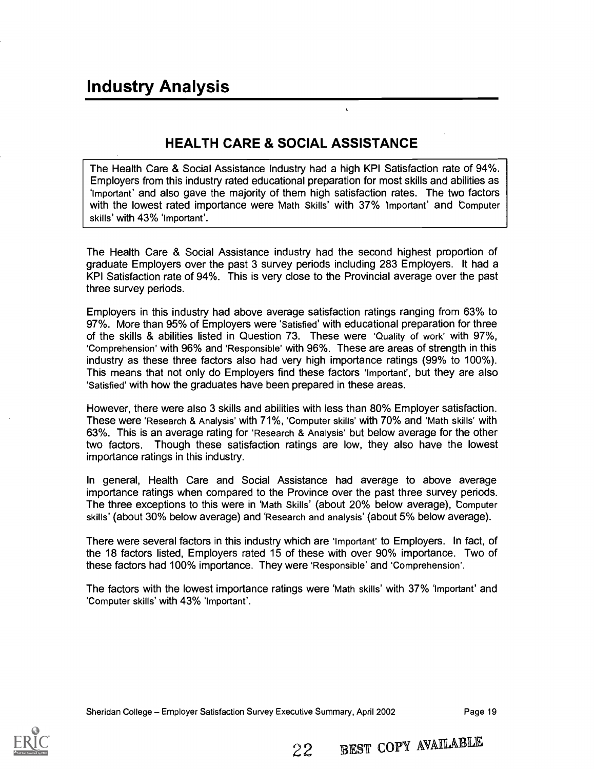## HEALTH CARE & SOCIAL ASSISTANCE

 $\ddot{\phantom{a}}$ 

The Health Care & Social Assistance Industry had a high KPI Satisfaction rate of 94%. Employers from this industry rated educational preparation for most skills and abilities as `Important' and also gave the majority of them high satisfaction rates. The two factors with the lowest rated importance were Math Skills' with 37% important' and Computer skills' with 43% 'Important'.

The Health Care & Social Assistance industry had the second highest proportion of graduate Employers over the past 3 survey periods including 283 Employers. It had a KPI Satisfaction rate of 94%. This is very close to the Provincial average over the past three survey periods.

Employers in this industry had above average satisfaction ratings ranging from 63% to 97%. More than 95% of Employers were 'Satisfied' with educational preparation for three of the skills & abilities listed in Question 73. These were 'Quality of work' with 97%, 'Comprehension' with 96% and 'Responsible' with 96%. These are areas of strength in this industry as these three factors also had very high importance ratings (99% to 100%). This means that not only do Employers find these factors 'Important', but they are also 'Satisfied' with how the graduates have been prepared in these areas.

However, there were also 3 skills and abilities with less than 80% Employer satisfaction. These were 'Research & Analysis' with 71%, 'Computer skills' with 70% and 'Math skills' with 63%. This is an average rating for 'Research & Analysis' but below average for the other two factors. Though these satisfaction ratings are low, they also have the lowest importance ratings in this industry.

In general, Health Care and Social Assistance had average to above average importance ratings when compared to the Province over the past three survey periods. The three exceptions to this were in 'Math Skills' (about 20% below average), Computer skills' (about 30% below average) and 'Research and analysis' (about 5% below average).

There were several factors in this industry which are 'Important' to Employers. In fact, of the 18 factors listed, Employers rated 15 of these with over 90% importance. Two of these factors had 100% importance. They were 'Responsible' and 'Comprehension'.

The factors with the lowest importance ratings were 'Math skills' with 37% Important' and 'Computer skills' with 43% 'Important'.

Sheridan College - Employer Satisfaction Survey Executive Summary, April 2002 Page 19



22 BEST COPY AVAILABLE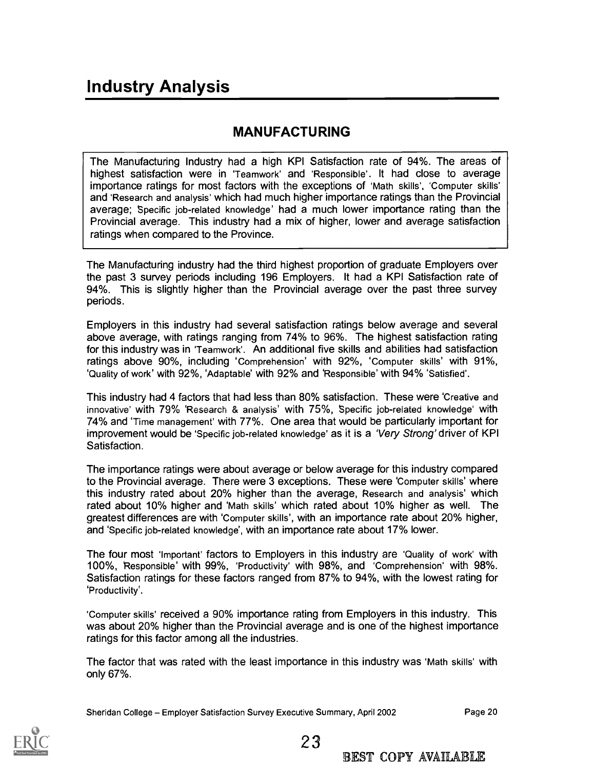#### MANUFACTURING

The Manufacturing Industry had a high KPI Satisfaction rate of 94%. The areas of highest satisfaction were in 'Teamwork' and 'Responsible'. It had close to average importance ratings for most factors with the exceptions of 'Math skills', 'Computer skills' and 'Research and analysis' which had much higher importance ratings than the Provincial average; Specific job-related knowledge' had a much lower importance rating than the Provincial average. This industry had a mix of higher, lower and average satisfaction ratings when compared to the Province.

The Manufacturing industry had the third highest proportion of graduate Employers over the past 3 survey periods including 196 Employers. It had a KPI Satisfaction rate of 94%. This is slightly higher than the Provincial average over the past three survey periods.

Employers in this industry had several satisfaction ratings below average and several above average, with ratings ranging from 74% to 96%. The highest satisfaction rating for this industry was in 'Teamwork'. An additional five skills and abilities had satisfaction ratings above 90%, including 'Comprehension' with 92%, 'Computer skills' with 91%, 'Quality of work' with 92%, 'Adaptable' with 92% and 'Responsible' with 94% 'Satisfied'.

This industry had 4 factors that had less than 80% satisfaction. These were 'Creative and innovative' with 79% 'Research & analysis' with 75%, Specific job-related knowledge' with 74% and 'Time management' with 77%. One area that would be particularly important for improvement would be 'Specific job-related knowledge' as it is a 'Very Strong' driver of KPI Satisfaction.

The importance ratings were about average or below average for this industry compared to the Provincial average. There were 3 exceptions. These were 'Computer skills' where this industry rated about 20% higher than the average, Research and analysis' which rated about 10% higher and 'Math skills' which rated about 10% higher as well. The greatest differences are with 'Computer skills', with an importance rate about 20% higher, and 'Specific job-related knowledge', with an importance rate about 17% lower.

The four most 'Important' factors to Employers in this industry are 'Quality of work' with 100%, 'Responsible' with 99%, 'Productivity' with 98%, and 'Comprehension' with 98%. Satisfaction ratings for these factors ranged from 87% to 94%, with the lowest rating for 'Productivity'.

'Computer skills' received a 90% importance rating from Employers in this industry. This was about 20% higher than the Provincial average and is one of the highest importance ratings for this factor among all the industries.

The factor that was rated with the least importance in this industry was 'Math skills' with only 67%.

23

Sheridan College - Employer Satisfaction Survey Executive Summary, April 2002 Page 20

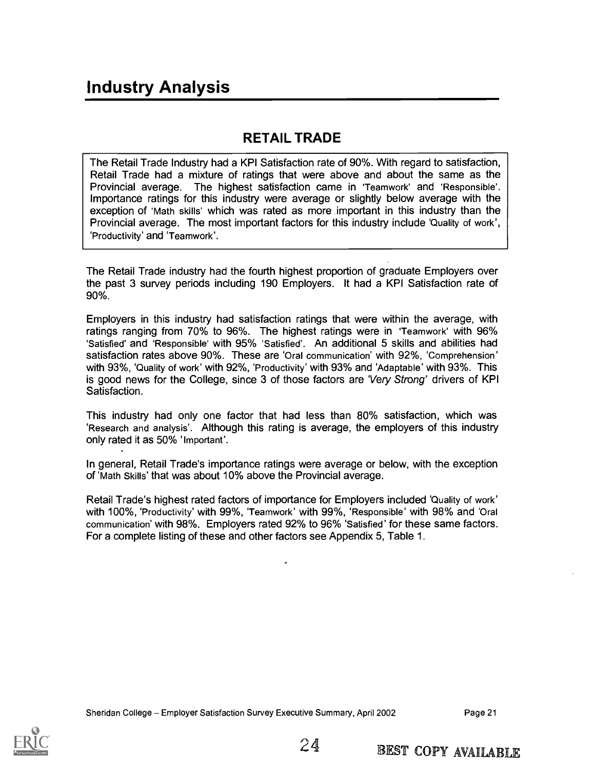#### RETAIL TRADE

The Retail Trade Industry had a KPI Satisfaction rate of 90%. With regard to satisfaction, Retail Trade had a mixture of ratings that were above and about the same as the Provincial average. The highest satisfaction came in 'Teamwork' and 'Responsible'. Importance ratings for this industry were average or slightly below average with the exception of 'Math skills' which was rated as more important in this industry than the Provincial average. The most important factors for this industry include 'Quality of work', `Productivity' and 'Teamwork'.

The Retail Trade industry had the fourth highest proportion of graduate Employers over the past 3 survey periods including 190 Employers. It had a KPI Satisfaction rate of 90%.

Employers in this industry had satisfaction ratings that were within the average, with ratings ranging from 70% to 96%. The highest ratings were in 'Teamwork' with 96% 'Satisfied' and 'Responsible' with 95% 'Satisfied'. An additional 5 skills and abilities had satisfaction rates above 90%. These are 'Oral communication' with 92%, 'Comprehension' with 93%, 'Quality of work' with 92%, 'Productivity' with 93% and 'Adaptable' with 93%. This is good news for the College, since 3 of those factors are 'Very Strong' drivers of KPI Satisfaction.

This industry had only one factor that had less than 80% satisfaction, which was 'Research and analysis'. Although this rating is average, the employers of this industry only rated it as 50% 'Important'.

In general, Retail Trade's importance ratings were average or below, with the exception of 'Math Skills' that was about 10% above the Provincial average.

Retail Trade's highest rated factors of importance for Employers included 'Quality of work' with 100%, 'Productivity' with 99%, 'Teamwork' with 99%, 'Responsible' with 98% and 'Oral communication' with 98%. Employers rated 92% to 96% 'Satisfied' for these same factors. For a complete listing of these and other factors see Appendix 5, Table 1.

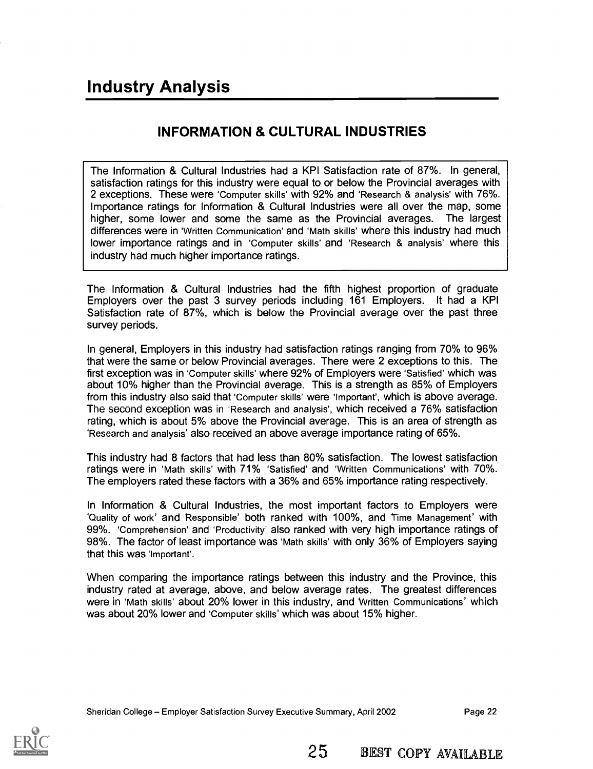## INFORMATION & CULTURAL INDUSTRIES

The Information & Cultural Industries had a KPI Satisfaction rate of 87%. In general, satisfaction ratings for this industry were equal to or below the Provincial averages with 2 exceptions. These were 'Computer skills' with 92% and 'Research & analysis' with 76%. Importance ratings for Information & Cultural Industries were all over the map, some higher, some lower and some the same as the Provincial averages. The largest differences were in 'Written Communication' and 'Math skills' where this industry had much lower importance ratings and in 'Computer skills' and 'Research & analysis' where this industry had much higher importance ratings.

The Information & Cultural Industries had the fifth highest proportion of graduate Employers over the past 3 survey periods including 161 Employers. It had a KPI Satisfaction rate of 87%, which is below the Provincial average over the past three survey periods.

In general, Employers in this industry had satisfaction ratings ranging from 70% to 96% that were the same or below Provincial averages. There were 2 exceptions to this. The first exception was in 'Computer skills' where 92% of Employers were 'Satisfied' which was about 10% higher than the Provincial average. This is a strength as 85% of Employers from this industry also said that 'Computer skills' were 'Important', which is above average. The second exception was in 'Research and analysis', which received a 76% satisfaction rating, which is about 5% above the Provincial average. This is an area of strength as 'Research and analysis' also received an above average importance rating of 65%.

This industry had 8 factors that had less than 80% satisfaction. The lowest satisfaction ratings were in 'Math skills' with 71% 'Satisfied' and 'Written Communications' with 70%. The employers rated these factors with a 36% and 65% importance rating respectively.

In Information & Cultural Industries, the most important factors to Employers were 'Quality of work' and Responsible' both ranked with 100%, and Time Management' with 99%. 'Comprehension' and 'Productivity' also ranked with very high importance ratings of 98%. The factor of least importance was 'Math skills' with only 36% of Employers saying that this was 'Important'.

When comparing the importance ratings between this industry and the Province, this industry rated at average, above, and below average rates. The greatest differences were in 'Math skills' about 20% lower in this industry, and Written Communications' which was about 20% lower and 'Computer skills' which was about 15% higher.

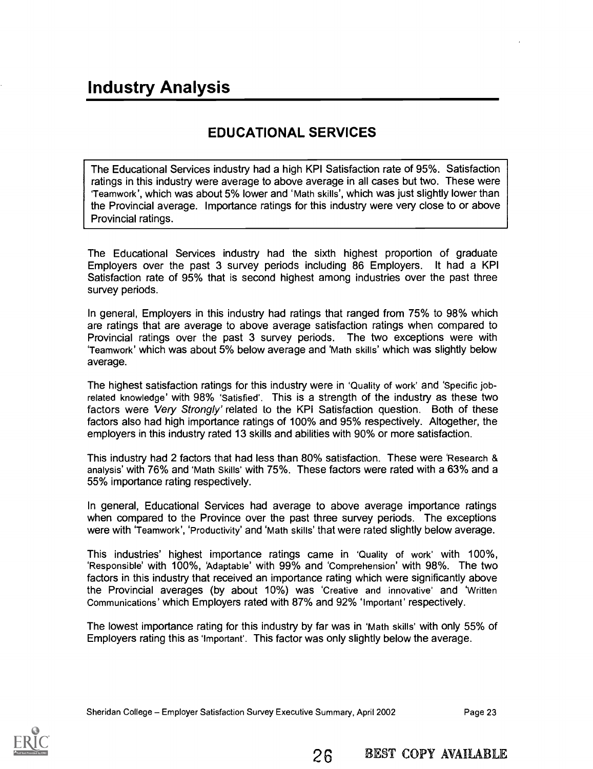## EDUCATIONAL SERVICES

The Educational Services industry had a high KPI Satisfaction rate of 95%. Satisfaction ratings in this industry were average to above average in all cases but two. These were 'Teamwork', which was about 5% lower and 'Math skills', which was just slightly lower than the Provincial average. Importance ratings for this industry were very close to or above Provincial ratings.

The Educational Services industry had the sixth highest proportion of graduate Employers over the past 3 survey periods including 86 Employers. It had a KPI Satisfaction rate of 95% that is second highest among industries over the past three survey periods.

In general, Employers in this industry had ratings that ranged from 75% to 98% which are ratings that are average to above average satisfaction ratings when compared to Provincial ratings over the past 3 survey periods. The two exceptions were with 'Teamwork' which was about 5% below average and 'Math skills' which was slightly below average.

The highest satisfaction ratings for this industry were in 'Quality of work' and 'Specific jobrelated knowledge' with 98% 'Satisfied'. This is a strength of the industry as these two factors were Very Strongly' related to the KPI Satisfaction question. Both of these factors also had high importance ratings of 100% and 95% respectively. Altogether, the employers in this industry rated 13 skills and abilities with 90% or more satisfaction.

This industry had 2 factors that had less than 80% satisfaction. These were 'Research & analysis' with 76% and 'Math Skills' with 75%. These factors were rated with a 63% and a 55% importance rating respectively.

In general, Educational Services had average to above average importance ratings when compared to the Province over the past three survey periods. The exceptions were with 'Teamwork', 'Productivity' and 'Math skills' that were rated slightly below average.

This industries' highest importance ratings came in 'Quality of work' with 100%, 'Responsible' with 100%, 'Adaptable' with 99% and 'Comprehension' with 98%. The two factors in this industry that received an importance rating which were significantly above the Provincial averages (by about 10%) was 'Creative and innovative' and 'Written Communications' which Employers rated with 87% and 92% 'Important' respectively.

The lowest importance rating for this industry by far was in 'Math skills' with only 55% of Employers rating this as 'Important'. This factor was only slightly below the average.

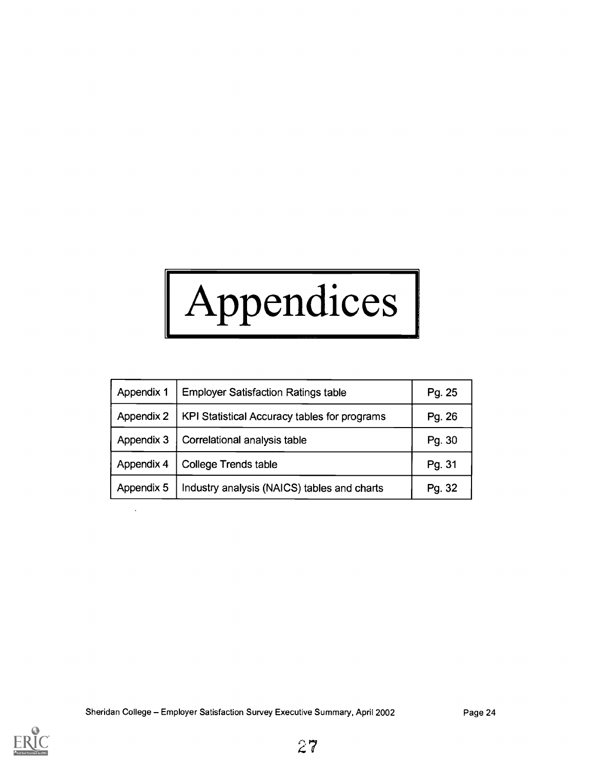# Appendices |

| Appendix 1 | <b>Employer Satisfaction Ratings table</b>   | Pg. 25 |
|------------|----------------------------------------------|--------|
| Appendix 2 | KPI Statistical Accuracy tables for programs | Pg. 26 |
| Appendix 3 | Correlational analysis table                 | Pg. 30 |
| Appendix 4 | <b>College Trends table</b>                  | Pg. 31 |
| Appendix 5 | Industry analysis (NAICS) tables and charts  | Pg. 32 |

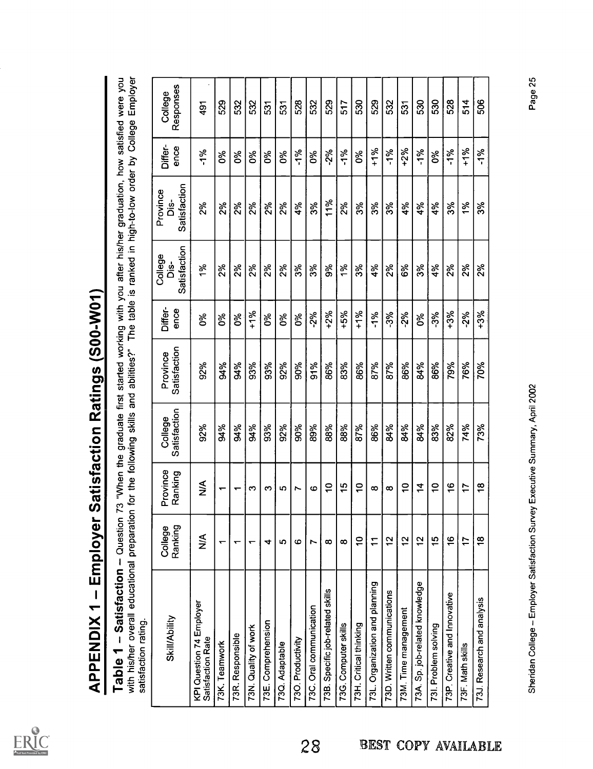ERIC

| satisfaction rating.                          |                    |                          |                         |                          |                 |                                 |                                |                 |                      |
|-----------------------------------------------|--------------------|--------------------------|-------------------------|--------------------------|-----------------|---------------------------------|--------------------------------|-----------------|----------------------|
| <b>Skill/Ability</b>                          | College<br>Ranking | Province<br>Ranking      | Satisfaction<br>College | Satisfaction<br>Province | Differ-<br>ence | Satisfaction<br>College<br>òis- | Satisfaction<br>Province<br>ė. | Differ-<br>ence | Responses<br>College |
| KPI Question 74 Employer<br>Satisfaction Rate | $\lessgtr$         | $\frac{4}{2}$            | 92%                     | 92%                      | δ%              | $\frac{5}{6}$                   | 2%                             | $-1%$           | 491                  |
| 73K. Teamwork                                 | ↽                  | $\overline{\phantom{0}}$ | 94%                     | 84%                      | 0%              | 2%                              | 2%                             | ಶಿಂ             | 529                  |
| 73R. Responsible                              | ↽                  | $\overline{\phantom{0}}$ | 94%                     | %b                       | δ%              | 2%                              | 2%                             | క               | 532                  |
| 73N. Quality of work                          | ↽                  | က                        | 94%                     | 93%                      | $+1%$           | 2%                              | $2\%$                          | ఠి              | 532                  |
| Comprehension<br>73E.                         | 4                  | က                        | 93%                     | 93%                      | ಶಿಂ             | 2%                              | $2\%$                          | ర్మ             | 531                  |
| 73Q. Adaptable                                | 5                  | 5                        | 92%                     | 92%                      | δ%              | 2%                              | 2%                             | δ%              | 531                  |
| 730. Productivity                             | G                  | r                        | 90%                     | 90%                      | ఠి              | 3%                              | 4%                             | $-1%$           | 528                  |
| 73C. Oral communication                       | r                  | 6                        | 89%                     | 91%                      | $-2%$           | 3%                              | 3%                             | 0%              | 532                  |
| 73B. Specific job-related skills              | $\infty$           | $\overline{C}$           | 88%                     | 86%                      | $+2%$           | 9%                              | 11%                            | $-2%$           | 529                  |
| 73G. Computer skills                          | $\infty$           | $\frac{15}{2}$           | 88%                     | 83%                      | $+5%$           | $\frac{9}{6}$                   | 2%                             | $-1%$           | 517                  |
| 73H. Critical thinking                        | $\tilde{c}$        | S                        | 87%                     | 86%                      | $+1%$           | 3%                              | 3%                             | δ%              | 530                  |
| 73L. Organization and planning                | $\overline{1}$     | $\infty$                 | 86%                     | 87%                      | $-1%$           | 4%                              | 3%                             | $+1%$           | 529                  |
| 73D. Written communications                   | $\tilde{c}$        | $\infty$                 | 84%                     | 87%                      | $-3%$           | 2%                              | 3%                             | $-1%$           | 532                  |
| 73M. Time management                          | $\frac{5}{2}$      | $\overline{C}$           | 84%                     | 86%                      | $-2%$           | 6%                              | 4%                             | $+2%$           | 531                  |
| 73A. Sp. job-related knowledge                | $\frac{2}{3}$      | $\dot{a}$                | 84%                     | 84%                      | $\delta$        | 3%                              | 4%                             | $-1%$           | 530                  |
| 731. Problem solving                          | $\frac{15}{2}$     | S                        | 83%                     | 86%                      | $-3%$           | 4%                              | 4%                             | δ%              | 530                  |
| 73P. Creative and Innovative                  | $\frac{6}{5}$      | $\frac{6}{5}$            | 82%                     | 79%                      | $+3%$           | 2%                              | 3%                             | $-1%$           | 528                  |
| 73F. Math skills                              | 17                 | $\ddot{ }$               | 74%                     | 76%                      | $-2%$           | 2%                              | 1%                             | $+1%$           | 514                  |
| 73J. Research and analysis                    | $\frac{8}{1}$      | $\frac{8}{1}$            | 73%                     | 70%                      | $+3%$           | 2%                              | 3%                             | $-1%$           | 506                  |

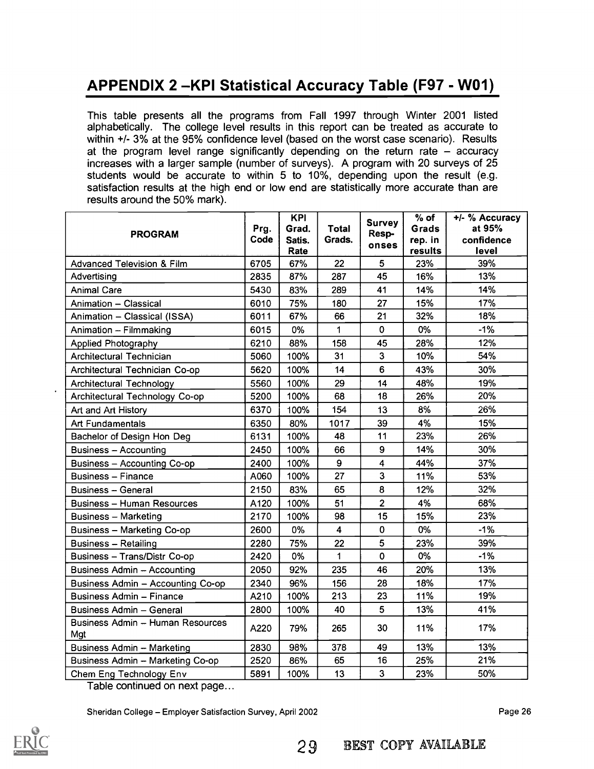This table presents all the programs from Fall 1997 through Winter 2001 listed alphabetically. The college level results in this report can be treated as accurate to within +/- 3% at the 95% confidence level (based on the worst case scenario). Results at the program level range significantly depending on the return rate  $-$  accuracy increases with a larger sample (number of surveys). A program with 20 surveys of 25 students would be accurate to within 5 to 10%, depending upon the result (e.g. satisfaction results at the high end or low end are statistically more accurate than are results around the 50% mark).

| <b>PROGRAM</b>                          | Prg.<br>Code | <b>KPI</b><br>Grad.<br>Satis.<br>Rate | <b>Total</b><br>Grads. | <b>Survey</b><br>Resp-<br>onses | $%$ of<br>Grads<br>rep. in<br>results | +/- % Accuracy<br>at 95%<br>confidence<br>level |
|-----------------------------------------|--------------|---------------------------------------|------------------------|---------------------------------|---------------------------------------|-------------------------------------------------|
| <b>Advanced Television &amp; Film</b>   | 6705         | 67%                                   | 22                     | 5                               | 23%                                   | 39%                                             |
| Advertising                             | 2835         | 87%                                   | 287                    | 45                              | 16%                                   | 13%                                             |
| <b>Animal Care</b>                      | 5430         | 83%                                   | 289                    | 41                              | 14%                                   | 14%                                             |
| Animation - Classical                   | 6010         | 75%                                   | 180                    | 27                              | 15%                                   | 17%                                             |
| Animation - Classical (ISSA)            | 6011         | 67%                                   | 66                     | 21                              | 32%                                   | 18%                                             |
| Animation - Filmmaking                  | 6015         | 0%                                    | 1                      | 0                               | 0%                                    | $-1%$                                           |
| <b>Applied Photography</b>              | 6210         | 88%                                   | 158                    | 45                              | 28%                                   | 12%                                             |
| Architectural Technician                | 5060         | 100%                                  | 31                     | 3                               | 10%                                   | 54%                                             |
| Architectural Technician Co-op          | 5620         | 100%                                  | 14                     | 6                               | 43%                                   | 30%                                             |
| Architectural Technology                | 5560         | 100%                                  | 29                     | 14                              | 48%                                   | 19%                                             |
| Architectural Technology Co-op          | 5200         | 100%                                  | 68                     | 18                              | 26%                                   | 20%                                             |
| Art and Art History                     | 6370         | 100%                                  | 154                    | 13                              | 8%                                    | 26%                                             |
| Art Fundamentals                        | 6350         | 80%                                   | 1017                   | 39                              | 4%                                    | 15%                                             |
| Bachelor of Design Hon Deg              | 6131         | 100%                                  | 48                     | 11                              | 23%                                   | 26%                                             |
| Business - Accounting                   | 2450         | 100%                                  | 66                     | 9                               | 14%                                   | 30%                                             |
| Business - Accounting Co-op             | 2400         | 100%                                  | 9                      | 4                               | 44%                                   | 37%                                             |
| <b>Business - Finance</b>               | A060         | 100%                                  | 27                     | 3                               | 11%                                   | 53%                                             |
| <b>Business - General</b>               | 2150         | 83%                                   | 65                     | 8                               | 12%                                   | 32%                                             |
| <b>Business - Human Resources</b>       | A120         | 100%                                  | 51                     | $\overline{2}$                  | 4%                                    | 68%                                             |
| <b>Business - Marketing</b>             | 2170         | 100%                                  | 98                     | 15                              | 15%                                   | 23%                                             |
| <b>Business - Marketing Co-op</b>       | 2600         | 0%                                    | 4                      | 0                               | 0%                                    | $-1%$                                           |
| <b>Business - Retailing</b>             | 2280         | 75%                                   | 22                     | 5                               | 23%                                   | 39%                                             |
| Business - Trans/Distr Co-op            | 2420         | 0%                                    | 1                      | $\mathbf 0$                     | 0%                                    | $-1%$                                           |
| <b>Business Admin - Accounting</b>      | 2050         | 92%                                   | 235                    | 46                              | 20%                                   | 13%                                             |
| Business Admin - Accounting Co-op       | 2340         | 96%                                   | 156                    | 28                              | 18%                                   | 17%                                             |
| Business Admin - Finance                | A210         | 100%                                  | 213                    | 23                              | 11%                                   | 19%                                             |
| <b>Business Admin - General</b>         | 2800         | 100%                                  | 40                     | 5                               | 13%                                   | 41%                                             |
| Business Admin - Human Resources<br>Mgt | A220         | 79%                                   | 265                    | 30                              | 11%                                   | 17%                                             |
| Business Admin - Marketing              | 2830         | 98%                                   | 378                    | 49                              | 13%                                   | 13%                                             |
| Business Admin - Marketing Co-op        | 2520         | 86%                                   | 65                     | 16                              | 25%                                   | 21%                                             |
| Chem Eng Technology Env                 | 5891         | 100%                                  | 13                     | 3                               | 23%                                   | 50%                                             |

Table continued on next page...

Sheridan College - Employer Satisfaction Survey, April 2002

Page 26

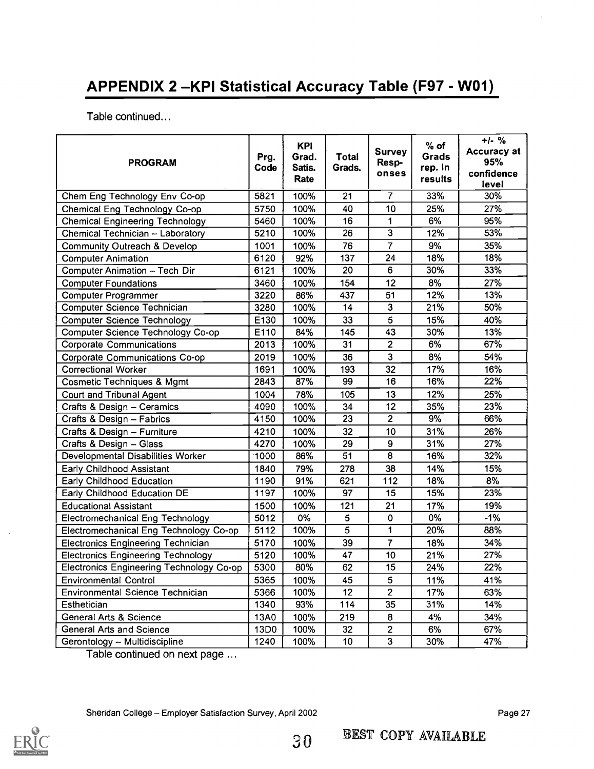Table continued...

| <b>PROGRAM</b>                                  | Prg.<br>Code | <b>KPI</b><br>Grad.<br>Satis.<br>Rate | Total<br>Grads. | <b>Survey</b><br>Resp-<br>onses | $%$ of<br>Grads<br>rep. In<br>results | $+/-$ %<br>Accuracy at<br>95%<br>confidence<br>level |
|-------------------------------------------------|--------------|---------------------------------------|-----------------|---------------------------------|---------------------------------------|------------------------------------------------------|
| Chem Eng Technology Env Co-op                   | 5821         | 100%                                  | $\overline{21}$ |                                 | 33%                                   | 30%                                                  |
| Chemical Eng Technology Co-op                   | 5750         | 100%                                  | 40              | 10                              | 25%                                   | 27%                                                  |
| <b>Chemical Engineering Technology</b>          | 5460         | 100%                                  | 16              | 1                               | 6%                                    | 95%                                                  |
| Chemical Technician - Laboratory                | 5210         | 100%                                  | $\overline{26}$ | $\overline{3}$                  | 12%                                   | 53%                                                  |
| Community Outreach & Develop                    | 1001         | 100%                                  | 76              | $\overline{7}$                  | 9%                                    | 35%                                                  |
| <b>Computer Animation</b>                       | 6120         | 92%                                   | 137             | 24                              | 18%                                   | 18%                                                  |
| Computer Animation - Tech Dir                   | 6121         | 100%                                  | 20              | 6                               | 30%                                   | 33%                                                  |
| <b>Computer Foundations</b>                     | 3460         | 100%                                  | 154             | 12                              | 8%                                    | 27%                                                  |
| Computer Programmer                             | 3220         | 86%                                   | 437             | 51                              | 12%                                   | 13%                                                  |
| Computer Science Technician                     | 3280         | 100%                                  | 14              | $\overline{3}$                  | 21%                                   | 50%                                                  |
| Computer Science Technology                     | E130         | 100%                                  | 33              | $\overline{5}$                  | 15%                                   | 40%                                                  |
| Computer Science Technology Co-op               | E110         | 84%                                   | 145             | 43                              | 30%                                   | 13%                                                  |
| <b>Corporate Communications</b>                 | 2013         | 100%                                  | 31              | $\overline{2}$                  | 6%                                    | 67%                                                  |
| Corporate Communications Co-op                  | 2019         | 100%                                  | 36              | 3                               | 8%                                    | 54%                                                  |
| <b>Correctional Worker</b>                      | 1691         | 100%                                  | 193             | 32                              | 17%                                   | 16%                                                  |
| <b>Cosmetic Techniques &amp; Mgmt</b>           | 2843         | 87%                                   | $\overline{99}$ | 16                              | 16%                                   | 22%                                                  |
| Court and Tribunal Agent                        | 1004         | 78%                                   | 105             | 13                              | 12%                                   | 25%                                                  |
| Crafts & Design - Ceramics                      | 4090         | 100%                                  | 34              | 12 <sub>2</sub>                 | 35%                                   | 23%                                                  |
| Crafts & Design -- Fabrics                      | 4150         | 100%                                  | 23              | $\overline{2}$                  | 9%                                    | 66%                                                  |
| Crafts & Design -- Furniture                    | 4210         | 100%                                  | 32              | 10                              | 31%                                   | 26%                                                  |
| Crafts & Design - Glass                         | 4270         | 100%                                  | 29              | 9                               | 31%                                   | 27%                                                  |
| Developmental Disabilities Worker               | 1000         | 86%                                   | 51              | $\overline{8}$                  | 16%                                   | 32%                                                  |
| Early Childhood Assistant                       | 1840         | 79%                                   | 278             | 38                              | 14%                                   | 15%                                                  |
| Early Childhood Education                       | 1190         | 91%                                   | 621             | 112                             | 18%                                   | 8%                                                   |
| Early Childhood Education DE                    | 1197         | 100%                                  | 97              | $\overline{15}$                 | 15%                                   | 23%                                                  |
| <b>Educational Assistant</b>                    | 1500         | 100%                                  | 121             | 21                              | 17%                                   | 19%                                                  |
| Electromechanical Eng Technology                | 5012         | 0%                                    | 5               | 0                               | 0%                                    | $-1%$                                                |
| Electromechanical Eng Technology Co-op          | 5112         | 100%                                  | $\overline{5}$  | $\overline{1}$                  | 20%                                   | 88%                                                  |
| <b>Electronics Engineering Technician</b>       | 5170         | 100%                                  | 39              | $\overline{7}$                  | 18%                                   | 34%                                                  |
| <b>Electronics Engineering Technology</b>       | 5120         | 100%                                  | 47              | 10                              | 21%                                   | 27%                                                  |
| <b>Electronics Engineering Technology Co-op</b> | 5300         | 80%                                   | 62              | $\overline{15}$                 | $\sqrt{24\%}$                         | 22%                                                  |
| <b>Environmental Control</b>                    | 5365         | 100%                                  | 45              | 5                               | 11%                                   | 41%                                                  |
| Environmental Science Technician                | 5366         | 100%                                  | 12              | $\overline{2}$                  | 17%                                   | 63%                                                  |
| Esthetician                                     | 1340         | 93%                                   | 114             | 35                              | 31%                                   | 14%                                                  |
| <b>General Arts &amp; Science</b>               | 13A0         | 100%                                  | 219             | 8                               | 4%                                    | 34%                                                  |
| General Arts and Science                        | 13D0         | 100%                                  | 32              | $\overline{2}$                  | 6%                                    | 67%                                                  |
| Gerontology -- Multidiscipline                  | 1240         | 100%                                  | 10              | $\overline{\mathbf{3}}$         | 30%                                   | 47%                                                  |

Table continued on next page ...

Sheridan College - Employer Satisfaction Survey, April 2002

Page 27

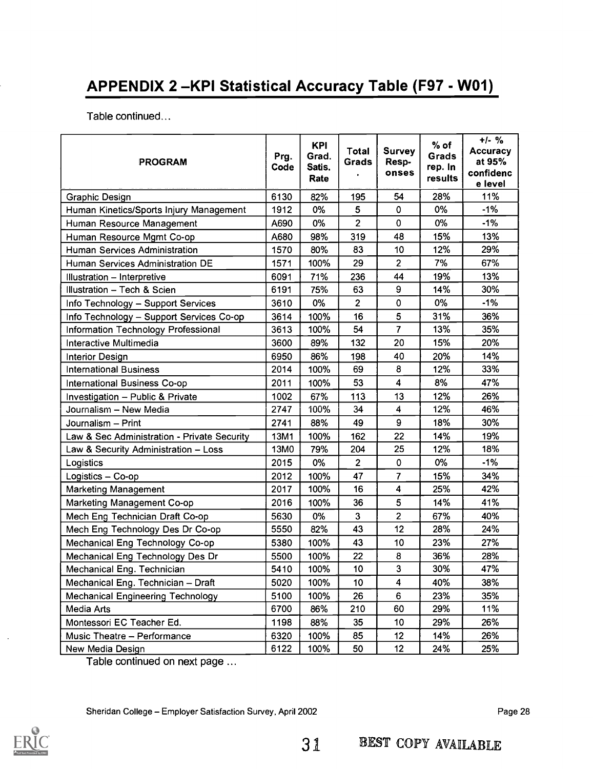Table continued...

| <b>PROGRAM</b>                              | Prg.<br>Code | <b>KPI</b><br>Grad.<br>Satis.<br>Rate | Total<br>Grads | <b>Survey</b><br>Resp-<br>onses | $%$ of<br>Grads<br>rep. In<br>results | $+/-$ %<br><b>Accuracy</b><br>at 95%<br>confidenc<br>e level |
|---------------------------------------------|--------------|---------------------------------------|----------------|---------------------------------|---------------------------------------|--------------------------------------------------------------|
| Graphic Design                              | 6130         | 82%                                   | 195            | 54                              | 28%                                   | 11%                                                          |
| Human Kinetics/Sports Injury Management     | 1912         | 0%                                    | 5              | $\mathbf 0$                     | 0%                                    | $-1%$                                                        |
| Human Resource Management                   | A690         | 0%                                    | $\overline{2}$ | 0                               | 0%                                    | $-1%$                                                        |
| Human Resource Mgmt Co-op                   | A680         | 98%                                   | 319            | 48                              | 15%                                   | 13%                                                          |
| Human Services Administration               | 1570         | 80%                                   | 83             | 10                              | 12%                                   | 29%                                                          |
| Human Services Administration DE            | 1571         | 100%                                  | 29             | 2                               | 7%                                    | 67%                                                          |
| Illustration - Interpretive                 | 6091         | 71%                                   | 236            | 44                              | 19%                                   | 13%                                                          |
| Illustration - Tech & Scien                 | 6191         | 75%                                   | 63             | 9                               | 14%                                   | 30%                                                          |
| Info Technology - Support Services          | 3610         | 0%                                    | $\overline{2}$ | 0                               | 0%                                    | $-1%$                                                        |
| Info Technology - Support Services Co-op    | 3614         | 100%                                  | 16             | 5                               | 31%                                   | 36%                                                          |
| Information Technology Professional         | 3613         | 100%                                  | 54             | $\overline{7}$                  | 13%                                   | 35%                                                          |
| Interactive Multimedia                      | 3600         | 89%                                   | 132            | 20                              | 15%                                   | 20%                                                          |
| <b>Interior Design</b>                      | 6950         | 86%                                   | 198            | 40                              | 20%                                   | 14%                                                          |
| <b>International Business</b>               | 2014         | 100%                                  | 69             | 8                               | 12%                                   | 33%                                                          |
| International Business Co-op                | 2011         | 100%                                  | 53             | $\overline{\mathbf{4}}$         | 8%                                    | 47%                                                          |
| Investigation - Public & Private            | 1002         | 67%                                   | 113            | 13                              | 12%                                   | 26%                                                          |
| Journalism - New Media                      | 2747         | 100%                                  | 34             | 4                               | 12%                                   | 46%                                                          |
| Journalism - Print                          | 2741         | 88%                                   | 49             | 9                               | 18%                                   | 30%                                                          |
| Law & Sec Administration - Private Security | 13M1         | 100%                                  | 162            | 22                              | 14%                                   | 19%                                                          |
| Law & Security Administration - Loss        | 13M0         | 79%                                   | 204            | 25                              | 12%                                   | 18%                                                          |
| Logistics                                   | 2015         | 0%                                    | $\overline{2}$ | 0                               | 0%                                    | $-1%$                                                        |
| Logistics - Co-op                           | 2012         | 100%                                  | 47             | $\overline{\mathcal{L}}$        | 15%                                   | 34%                                                          |
| <b>Marketing Management</b>                 | 2017         | 100%                                  | 16             | $\overline{\mathbf{4}}$         | 25%                                   | 42%                                                          |
| Marketing Management Co-op                  | 2016         | 100%                                  | 36             | 5                               | 14%                                   | 41%                                                          |
| Mech Eng Technician Draft Co-op             | 5630         | 0%                                    | 3              | $\overline{2}$                  | 67%                                   | 40%                                                          |
| Mech Eng Technology Des Dr Co-op            | 5550         | 82%                                   | 43             | 12                              | 28%                                   | 24%                                                          |
| Mechanical Eng Technology Co-op             | 5380         | 100%                                  | 43             | 10                              | 23%                                   | 27%                                                          |
| Mechanical Eng Technology Des Dr            | 5500         | 100%                                  | 22             | 8                               | 36%                                   | 28%                                                          |
| Mechanical Eng. Technician                  | 5410         | 100%                                  | 10             | 3                               | 30%                                   | 47%                                                          |
| Mechanical Eng. Technician - Draft          | 5020         | 100%                                  | 10             | 4                               | 40%                                   | 38%                                                          |
| <b>Mechanical Engineering Technology</b>    | 5100         | 100%                                  | 26             | 6                               | 23%                                   | 35%                                                          |
| Media Arts                                  | 6700         | 86%                                   | 210            | 60                              | 29%                                   | 11%                                                          |
| Montessori EC Teacher Ed.                   | 1198         | 88%                                   | 35             | 10                              | 29%                                   | 26%                                                          |
| Music Theatre - Performance                 | 6320         | 100%                                  | 85             | 12                              | 14%                                   | 26%                                                          |
| New Media Design                            | 6122         | 100%                                  | 50             | 12                              | 24%                                   | 25%                                                          |

Table continued on next page ...

Sheridan College - Employer Satisfaction Survey, April 2002 **Page 28** Page 28

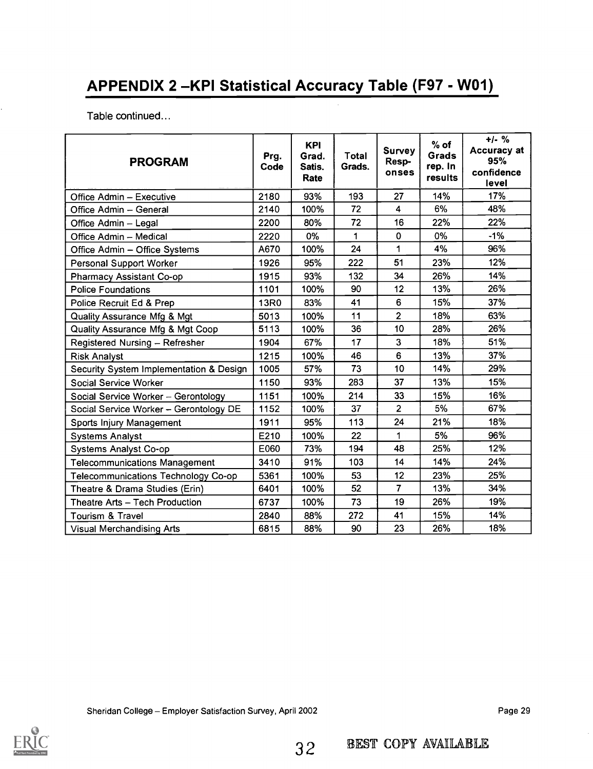Table continued...

| <b>PROGRAM</b>                          | Prg.<br>Code | <b>KPI</b><br>Grad.<br>Satis.<br>Rate | Total<br>Grads. | <b>Survey</b><br>Resp-<br>onses | $%$ of<br>Grads<br>rep. In<br>results | $+/-$ %<br>Accuracy at<br>95%<br>confidence<br>level |
|-----------------------------------------|--------------|---------------------------------------|-----------------|---------------------------------|---------------------------------------|------------------------------------------------------|
| Office Admin - Executive                | 2180         | 93%                                   | 193             | 27                              | 14%                                   | 17%                                                  |
| Office Admin - General                  | 2140         | 100%                                  | 72              | $\overline{4}$                  | 6%                                    | 48%                                                  |
| Office Admin - Legal                    | 2200         | 80%                                   | 72              | 16                              | 22%                                   | 22%                                                  |
| Office Admin - Medical                  | 2220         | 0%                                    | 1               | 0                               | 0%                                    | $-1%$                                                |
| Office Admin - Office Systems           | A670         | 100%                                  | 24              | 1                               | 4%                                    | 96%                                                  |
| Personal Support Worker                 | 1926         | 95%                                   | 222             | 51                              | 23%                                   | 12%                                                  |
| Pharmacy Assistant Co-op                | 1915         | 93%                                   | 132             | 34                              | 26%                                   | 14%                                                  |
| <b>Police Foundations</b>               | 1101         | 100%                                  | 90              | 12                              | 13%                                   | 26%                                                  |
| Police Recruit Ed & Prep                | 13R0         | 83%                                   | 41              | 6                               | 15%                                   | 37%                                                  |
| <b>Quality Assurance Mfg &amp; Mgt</b>  | 5013         | 100%                                  | 11              | $\overline{2}$                  | 18%                                   | 63%                                                  |
| Quality Assurance Mfg & Mgt Coop        | 5113         | 100%                                  | 36              | 10                              | 28%                                   | 26%                                                  |
| Registered Nursing - Refresher          | 1904         | 67%                                   | 17              | 3                               | 18%                                   | 51%                                                  |
| <b>Risk Analyst</b>                     | 1215         | 100%                                  | 46              | 6                               | 13%                                   | 37%                                                  |
| Security System Implementation & Design | 1005         | 57%                                   | 73              | 10                              | 14%                                   | 29%                                                  |
| Social Service Worker                   | 1150         | 93%                                   | 283             | 37                              | 13%                                   | 15%                                                  |
| Social Service Worker - Gerontology     | 1151         | 100%                                  | 214             | 33                              | 15%                                   | 16%                                                  |
| Social Service Worker - Gerontology DE  | 1152         | 100%                                  | 37              | $\overline{2}$                  | 5%                                    | 67%                                                  |
| Sports Injury Management                | 1911         | 95%                                   | 113             | 24                              | 21%                                   | 18%                                                  |
| <b>Systems Analyst</b>                  | E210         | 100%                                  | 22              | 1                               | 5%                                    | 96%                                                  |
| <b>Systems Analyst Co-op</b>            | E060         | 73%                                   | 194             | 48                              | 25%                                   | 12%                                                  |
| <b>Telecommunications Management</b>    | 3410         | 91%                                   | 103             | 14                              | 14%                                   | 24%                                                  |
| Telecommunications Technology Co-op     | 5361         | 100%                                  | 53              | 12                              | 23%                                   | 25%                                                  |
| Theatre & Drama Studies (Erin)          | 6401         | 100%                                  | 52              | $\overline{7}$                  | 13%                                   | 34%                                                  |
| Theatre Arts - Tech Production          | 6737         | 100%                                  | 73              | 19                              | 26%                                   | 19%                                                  |
| Tourism & Travel                        | 2840         | 88%                                   | 272             | 41                              | 15%                                   | 14%                                                  |
| <b>Visual Merchandising Arts</b>        | 6815         | 88%                                   | 90              | 23                              | 26%                                   | 18%                                                  |

Sheridan College - Employer Satisfaction Survey, April 2002 **Page 29** Page 29

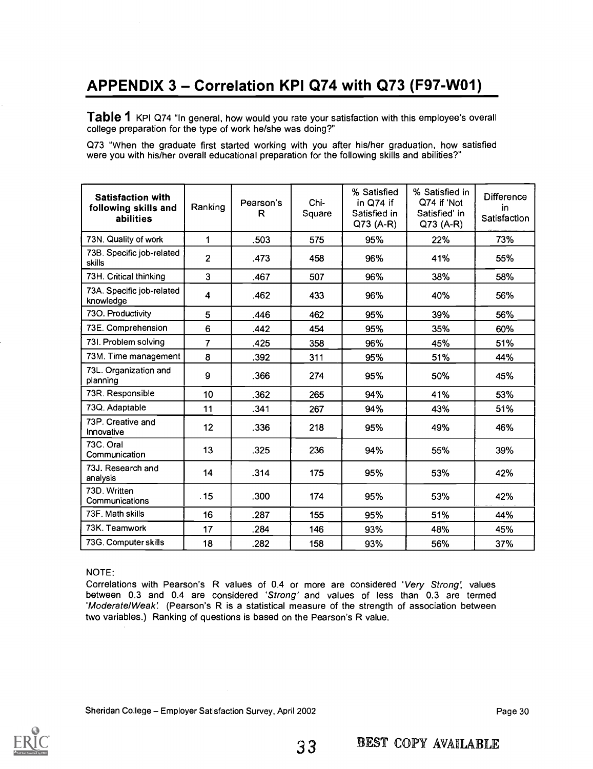## APPENDIX  $3 -$  Correlation KPI Q74 with Q73 (F97-W01)

Table 1 KPI Q74 "In general, how would you rate your satisfaction with this employee's overall college preparation for the type of work he/she was doing?"

Q73 "When the graduate first started working with you after his/her graduation, how satisfied were you with his/her overall educational preparation for the following skills and abilities?"

| <b>Satisfaction with</b><br>following skills and<br>abilities | Ranking                 | Pearson's<br>R | Chi-<br>Square | % Satisfied<br>in Q74 if<br>Satisfied in<br>$Q73(A-R)$ | % Satisfied in<br>Q74 if 'Not<br>Satisfied' in<br>Q73 (A-R) | <b>Difference</b><br>in<br>Satisfaction |
|---------------------------------------------------------------|-------------------------|----------------|----------------|--------------------------------------------------------|-------------------------------------------------------------|-----------------------------------------|
| 73N. Quality of work                                          | 1                       | .503           | 575            | 95%                                                    | 22%                                                         | 73%                                     |
| 73B. Specific job-related<br>skills                           | $\overline{2}$          | .473           | 458            | 96%                                                    | 41%                                                         | 55%                                     |
| 73H. Critical thinking                                        | 3                       | .467           | 507            | 96%                                                    | 38%                                                         | 58%                                     |
| 73A. Specific job-related<br>knowledge                        | $\overline{\mathbf{4}}$ | .462           | 433            | 96%                                                    | 40%                                                         | 56%                                     |
| 730. Productivity                                             | 5                       | .446           | 462            | 95%                                                    | 39%                                                         | 56%                                     |
| 73E. Comprehension                                            | 6                       | .442           | 454            | 95%                                                    | 35%                                                         | 60%                                     |
| 73I. Problem solving                                          | $\overline{7}$          | .425           | 358            | 96%                                                    | 45%                                                         | 51%                                     |
| 73M. Time management                                          | 8                       | .392           | 311            | 95%                                                    | 51%                                                         | 44%                                     |
| 73L. Organization and<br>planning                             | 9                       | .366           | 274            | 95%                                                    | 50%                                                         | 45%                                     |
| 73R. Responsible                                              | 10                      | .362           | 265            | 94%                                                    | 41%                                                         | 53%                                     |
| 73Q. Adaptable                                                | 11                      | .341           | 267            | 94%                                                    | 43%                                                         | 51%                                     |
| 73P. Creative and<br>Innovative                               | 12                      | .336           | 218            | 95%                                                    | 49%                                                         | 46%                                     |
| 73C. Oral<br>Communication                                    | 13                      | .325           | 236            | 94%                                                    | 55%                                                         | 39%                                     |
| 73J. Research and<br>analysis                                 | 14                      | .314           | 175            | 95%                                                    | 53%                                                         | 42%                                     |
| 73D. Written<br>Communications                                | .15                     | .300           | 174            | 95%                                                    | 53%                                                         | 42%                                     |
| 73F. Math skills                                              | 16                      | .287           | 155            | 95%                                                    | 51%                                                         | 44%                                     |
| 73K. Teamwork                                                 | 17                      | .284           | 146            | 93%                                                    | 48%                                                         | 45%                                     |
| 73G. Computer skills                                          | 18                      | .282           | 158            | 93%                                                    | 56%                                                         | 37%                                     |

#### NOTE:

Correlations with Pearson's R values of 0.4 or more are considered 'Very Strong: values between 0.3 and 0.4 are considered 'Strong' and values of less than 0.3 are termed 'Moderate/Weak! (Pearson's R is a statistical measure of the strength of association between two variables.) Ranking of questions is based on the Pearson's R value.

Sheridan College – Employer Satisfaction Survey, April 2002 **Page 30** Page 30

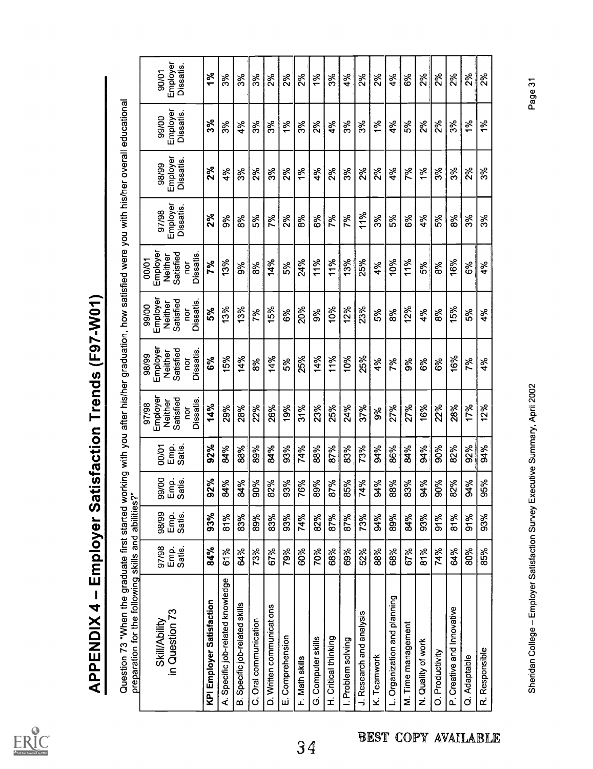

| preparation for the following skills and abilities?"<br>in Question 73<br><b>Skill/Ability</b> | 97/98<br>Emp.<br>Satis. | 98/99<br>Emp.<br>Satis. | 99/00<br>Emp.<br>Satis. | Emp.<br>Satis.<br>00/01 | Employer<br>Satisfied<br><b>Dissatis</b><br>Neither<br>97/98<br>ă | Employer<br>Satisfied<br>Dissatis<br>Neither<br>98/99<br>ă | Employer<br>Satisfied<br>Dissatis<br>Neither<br>99/00<br>ă | Employer<br>Satisfied<br>Dissatis.<br>Neither<br>00/01<br>ă | Employer<br><b>Dissatis</b><br>97/98 | Employer<br>Dissatis<br>98/99 | Employer<br><b>Dissatis</b><br>99/00 |  |
|------------------------------------------------------------------------------------------------|-------------------------|-------------------------|-------------------------|-------------------------|-------------------------------------------------------------------|------------------------------------------------------------|------------------------------------------------------------|-------------------------------------------------------------|--------------------------------------|-------------------------------|--------------------------------------|--|
| KPI Employer Satisfaction                                                                      | 84%                     | 93%                     | 2%<br>တ                 | 92%                     | 14%                                                               | 6%                                                         | 5%                                                         | 7%                                                          | 2%                                   | 2%                            | 3%                                   |  |
| Specific job-related knowledge<br>خ                                                            | 61%                     | 81%                     | 84%                     | 84%                     | 29%                                                               | 15%                                                        | 13%                                                        | 13%                                                         | 9%                                   | 4%                            | 3%                                   |  |
| Specific job-related skills<br>œ                                                               | 64%                     | 83%                     | 84%                     | 88%                     | 28%                                                               | 14%                                                        | 13%                                                        | 9%                                                          | 8%                                   | 3%                            | 4%                                   |  |
| C. Oral communication                                                                          | 73%                     | 89%                     | 90%                     | 89%                     | 22%                                                               | 8%                                                         | 7%                                                         | 8%                                                          | 5%                                   | 2%                            | 3%                                   |  |
| D. Written communications                                                                      | 67%                     | 83%                     | 2%<br>∞                 | 84%                     | 26%                                                               | 14%                                                        | 15%                                                        | 14%                                                         | 7%                                   | 3%                            | 3%                                   |  |
| E. Comprehension                                                                               | 79%                     | 93%                     | 13%<br>თ                | 93%                     | 19%                                                               | 5%                                                         | 6%                                                         | 5%                                                          | 2%                                   | 2%                            | $\frac{5}{6}$                        |  |
| F. Math skills                                                                                 | 60%                     | 74%                     | 6%                      | 74%                     | 31%                                                               | 25%                                                        | 20%                                                        | 24%                                                         | 8%                                   | 1%                            | 3%                                   |  |
| G. Computer skills                                                                             | 70%                     | 82%                     | 9%<br>œ                 | 88%                     | 23%                                                               | 14%                                                        | 9%                                                         | 11%                                                         | 6%                                   | 4%                            | 2%                                   |  |
| H. Critical thinking                                                                           | 68%                     | 87%                     | 87%                     | 87%                     | 25%                                                               | 11%                                                        | 10%                                                        | 11%                                                         | 7%                                   | $2\%$                         | 4%                                   |  |
| I. Problem solving                                                                             | 69%                     | 87%                     | 5%<br>∞                 | 83%                     | 24%                                                               | 10%                                                        | 12%                                                        | 13%                                                         | 7%                                   | 3%                            | 3%                                   |  |
| J. Research and analysis                                                                       | 52%                     | 73%                     | 74%                     | 73%                     | 37%                                                               | 25%                                                        | 23%                                                        | 25%                                                         | 11%                                  | 2%                            | ૱                                    |  |
| K. Teamwork                                                                                    | 88%                     | 84%                     | 84%                     | 94%                     | 9%                                                                | 4%                                                         | 5%                                                         | 4%                                                          | 3%                                   | 2%                            | 1%                                   |  |
| L. Organization and planning                                                                   | 68%                     | 89%                     | 88%                     | 86%                     | 27%                                                               | 7%                                                         | 8%                                                         | 10%                                                         | 5%                                   | 4%                            | 4%                                   |  |
| M. Time management                                                                             | 67%                     | 84%                     | 83%                     | 84%                     | 27%                                                               | 9%                                                         | 12%                                                        | 11%                                                         | 6%                                   | 7%                            | 5%                                   |  |
| N. Quality of work                                                                             | 81%                     | 93%                     | <b>94%</b>              | 84%                     | 16%                                                               | 6%                                                         | 4%                                                         | 5%                                                          | 4%                                   | $\frac{5}{6}$                 | 2%                                   |  |
| O. Productivity                                                                                | 74%                     | 91%                     | 90%                     | 90%                     | 22%                                                               | 6%                                                         | 8%                                                         | 8%                                                          | 5%                                   | 3%                            | 2%                                   |  |
| P. Creative and Innovative                                                                     | 64%                     | 81%                     | <b>12%</b><br>∞         | 82%                     | 28%                                                               | 16%                                                        | 15%                                                        | 16%                                                         | 8%                                   | 3%                            | 3%                                   |  |
| Q. Adaptable                                                                                   | 80%                     | 91%                     | <b>94%</b>              | 92%                     | 17%                                                               | 7%                                                         | 5%                                                         | 6%                                                          | 3%                                   | 2%                            | 1%                                   |  |
| R. Responsible                                                                                 | 85%                     | 93%                     | 95%<br>တ                | 94%                     | 12%                                                               | 4%                                                         | 4%                                                         | 4%                                                          | 3%                                   | ૱                             | 1%                                   |  |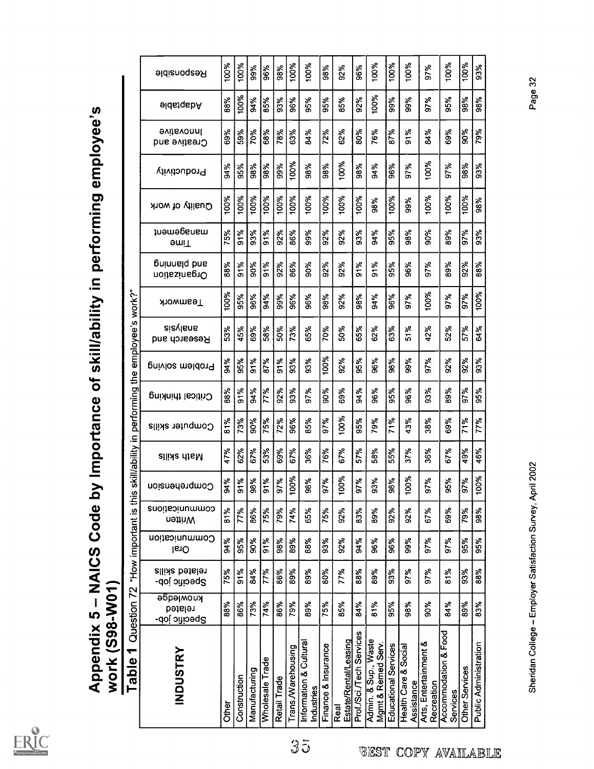

**BEST COPY AVAILABLE** 

 $35$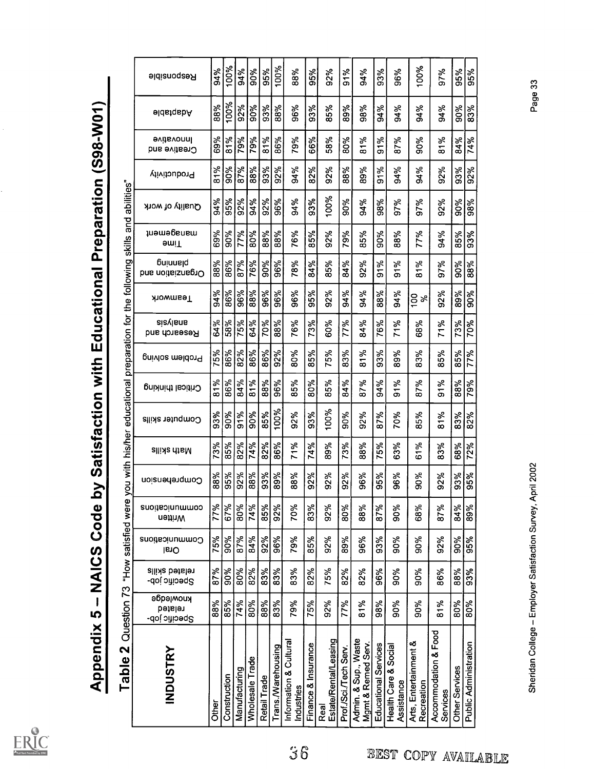

| ֧֖֧֚֚֚֚֚֚֚֚֚֚֚֚֚֚֚֚֚֚֚֚֝ <u>֓</u>                             |
|---------------------------------------------------------------|
|                                                               |
|                                                               |
|                                                               |
|                                                               |
|                                                               |
| ֖֖֖֪ׅ֪ׅ֪֪֪ׅ֖֧֪֪ׅ֪֪֪֪ׅ֖֧ׅ֪֪֪֪֪֪֪֪֪֪֪ׅ֧֚֚֚֚֚֚֚֚֚֚֡֝֝֝֝֬֝֬֝֝֝֬֝֬ |
|                                                               |
|                                                               |
|                                                               |
|                                                               |
|                                                               |
|                                                               |
|                                                               |
|                                                               |
|                                                               |
|                                                               |
|                                                               |
|                                                               |
|                                                               |

| $\overline{\mathbf{C}}$<br>Table <sup>'</sup>      | Question 73                          |                                 | "How satisfied were           |                           | you with      | his/her            | educational     |                    | preparation for the following |                          |                 |                              | and<br>skills      | abilities"       |              |                                 |                  |             |
|----------------------------------------------------|--------------------------------------|---------------------------------|-------------------------------|---------------------------|---------------|--------------------|-----------------|--------------------|-------------------------------|--------------------------|-----------------|------------------------------|--------------------|------------------|--------------|---------------------------------|------------------|-------------|
| <b>INDUSTRY</b>                                    | әбрәүмои<br>related<br>Specific job- | related skills<br>Specific job- | Communications<br><b>IsiO</b> | communications<br>nettinW | Comprehension | <b>allish diaM</b> | Computer skills | Critical thinking  | Problem solving               | aiaylans<br>Research and | <b>Teamwork</b> | poinnald<br>Drganziation and | tnamegenem<br>əmi⊤ | Quality of work  | Productivity | <b>Hovative</b><br>Creative and | <b>eldstgabA</b> | Resbousible |
| Other                                              | 88%                                  | 87%                             | $\frac{15\%}{90\%}$           | $\frac{3}{17\%}$          | 88%           | 73%                | 93%             | 81%                |                               |                          | 94%             |                              | 69%                | $\frac{34\%}{4}$ | 81%          | 69%                             | 88%              | 94%         |
| Construction                                       | 85%                                  | $\frac{8}{90}$                  |                               | 67%                       | 35%           | శ్య                | 30%             | 86%                | <b>75%</b>                    | $rac{8}{38}$             | 86%             | $rac{8}{86}$                 | 90%                | 95%              | 90%          | 81%                             | 100%             | 100%        |
| Manufacturing                                      | 74%                                  | 80%                             | 87%                           | 80%                       | 92%           | 82%                | $\frac{1}{90}$  | 84%                | 82%                           | 75%                      | 96%             | 87%                          | 77%                | 92%              | 87%          | 79%                             | $\frac{8}{32}$   | 94%         |
| Wholesale Trade                                    | 80%                                  | $\frac{92}{82}$                 | 84%                           | 74%                       | 88%           | 74%                | $\frac{80}{8}$  | $\frac{81\%}{1\%}$ | 86%                           | 64%                      | 88%             | 76%                          | 80%                | 94%              | 88%          | 79%                             | 90%              | 90%         |
| Retail Trade                                       | 88%                                  | 83%                             | 92%                           | 85%                       | 93%           | 82%                | 85%             | 88%                | 86%                           | 70%                      | 96%             | 90%                          | 88%                | 92%              | 93%          | 81%                             | 93%              | 95%         |
| Trans./Warehousing                                 | 83%                                  | 83%                             | 96%                           | 92%                       | 89%           | 86%                | 100%            | 96%                | 92%                           | 88%                      | 96%             | 96%                          | 88%                | 96%              | 92%          | 86%                             | 88%              | 100%        |
| Information & Cultural<br>Industries               | 79%                                  | 83%                             | 79%                           | 70%                       | 88%           | 71%                | 92%             | 85%                | 80%                           | 76%                      | 96%             | 78%                          | 76%                | 94%              | 94%          | 79%                             | 96%              | 88%         |
| Finance & Insurance                                | 75%                                  | 82%                             | 85%                           | 83%                       | 92%           | 74%                | 93%             | 80%                | 85%                           | 73%                      | 95%             | 84%                          | 85%                | 93%              | 82%          | 66%                             | 93%              | 95%         |
| Estate/Rental/Leasing<br>Real                      | 92%                                  | 75%                             | 92%                           | 92%                       | 92%           | 89%                | 100%            | 85%                | 75%                           | 60%                      | 92%             | 85%                          | 92%                | 100%             | 92%          | 58%                             | 85%              | 92%         |
| Prof./Sci./Tech Serv.                              | 77%                                  | 82%                             | 89%                           | 80%                       | 92%           | 73%                | 90%             | 84%                | 83%                           | 77%                      | 94%             | 84%                          | 79%                | 90%              | 88%          | 80%                             | 89%              | 91%         |
| Admin. & Sup., Waste<br>Mgmt & Remed Serv.         | 81%                                  | 82%                             | 96%                           | 88%                       | 96%           | 88%                | 92%             | 87%                | 81%                           | 84%                      | 94%             | 92%                          | 85%                | 94%              | 89%          | 81%                             | 98%              | 94%         |
| Educational Services                               | 98%                                  | 96%                             | 93%                           | 87%                       | 95%           | 75%                | 87%             | 94%                | 93%                           | 76%                      | 88%             | 91%                          | 90%                | 98%              | 91%          | 91%                             | 94%              | 93%         |
| Health Care & Social<br>Assistance                 | 90%                                  | 90%                             | 90%                           | 90%                       | 96%           | 63%                | 70%             | 91%                | 89%                           | 71%                      | 94%             | 91%                          | 88%                | 97%              | 94%          | 87%                             | 94%              | 96%         |
| Arts, Entertainment &<br>Recreation                | 90%                                  | 90%                             | 90%                           | 68%                       | 30%           | 61%                | 85%             | 87%                | 83%                           | 68%                      | $\frac{5}{6}$   | 81%                          | 77%                | 97%              | 94%          | 90%                             | 94%              | 100%        |
| Accommodation & Food<br>Services                   | 81%                                  | 86%                             | 92%                           | 87%                       | 92%           | 83%                | 81%             | 91%                | 85%                           | 71%                      | 92%             | 97%                          | 94%                | 92%              | 92%          | 81%                             | 94%              | 97%         |
| Other Services                                     | 80%                                  | 88%                             | 90%                           | 84%                       | 93%           | 68%                | 83%             | 88%                | 85%                           | 73%                      | 89%             | 90%                          | 85%                | 90%              | 93%          | 84%                             | 90%              | 95%         |
| <b>Public Administration</b>                       | 80%                                  | 93%                             | 95%                           | 89%                       | 95%           | 72%                | 82%             | 79%                | $\frac{8}{17}$                | 70%                      | 90%             | 88%                          | 93%                | 88%              | 92%          | 74%                             | 83%              | 85%         |
| Sheridan College - Employer Satisfaction Survey, A |                                      |                                 |                               |                           | pril 2002     |                    |                 |                    |                               |                          |                 |                              |                    |                  |              |                                 | Page 33          |             |
|                                                    |                                      |                                 |                               |                           |               |                    |                 |                    |                               |                          |                 |                              |                    |                  |              |                                 |                  |             |

BEST COPY AVAILABLE

36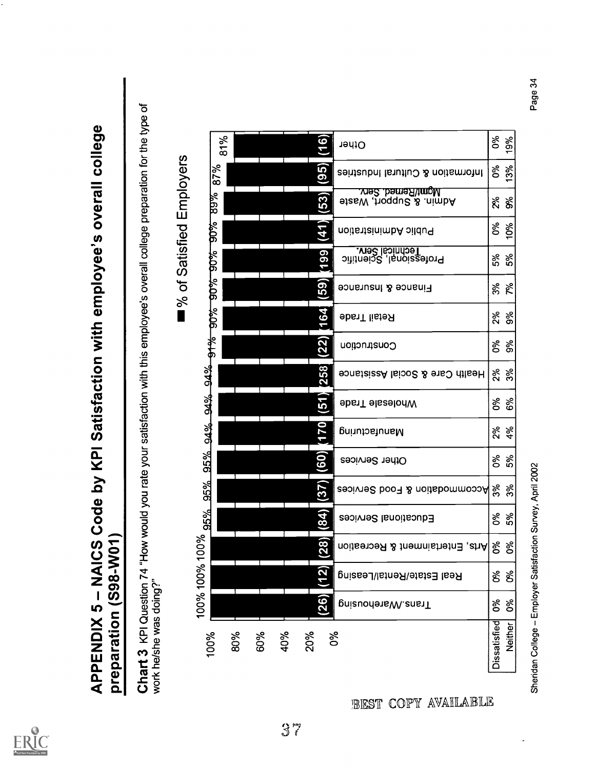